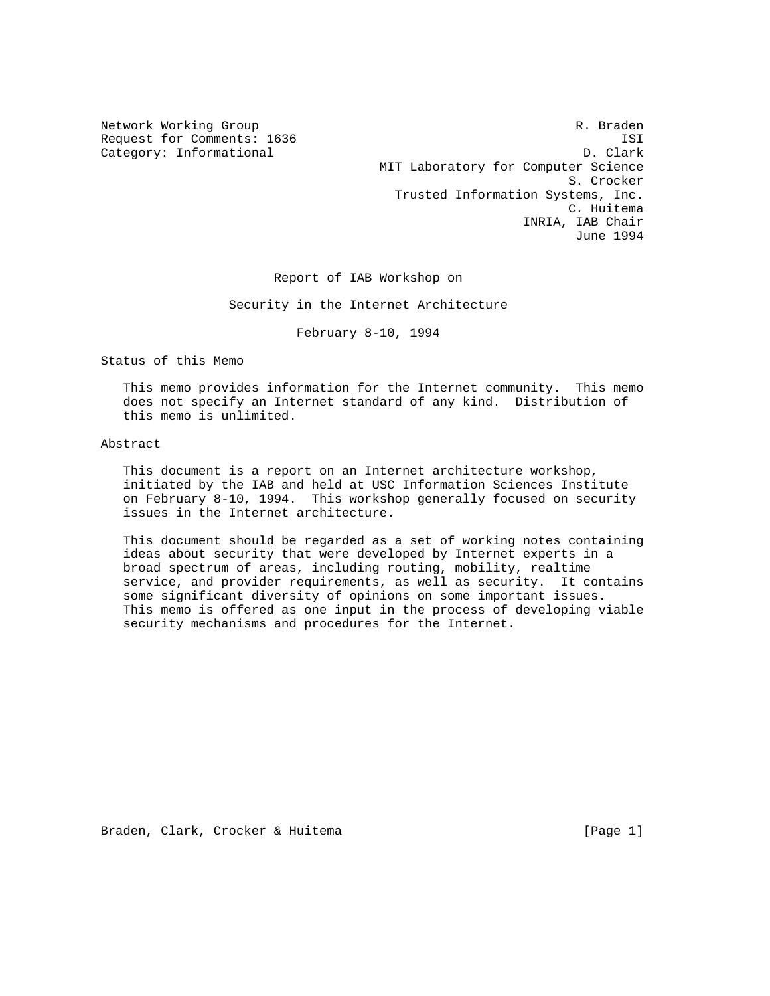Network Working Group and the set of the set of the set of the R. Braden Request for Comments: 1636 ISI Category: Informational D. Clark MIT Laboratory for Computer Science S. Crocker Trusted Information Systems, Inc. C. Huitema INRIA, IAB Chair June 1994

Report of IAB Workshop on

Security in the Internet Architecture

February 8-10, 1994

Status of this Memo

 This memo provides information for the Internet community. This memo does not specify an Internet standard of any kind. Distribution of this memo is unlimited.

# Abstract

 This document is a report on an Internet architecture workshop, initiated by the IAB and held at USC Information Sciences Institute on February 8-10, 1994. This workshop generally focused on security issues in the Internet architecture.

 This document should be regarded as a set of working notes containing ideas about security that were developed by Internet experts in a broad spectrum of areas, including routing, mobility, realtime service, and provider requirements, as well as security. It contains some significant diversity of opinions on some important issues. This memo is offered as one input in the process of developing viable security mechanisms and procedures for the Internet.

Braden, Clark, Crocker & Huitema (Page 1)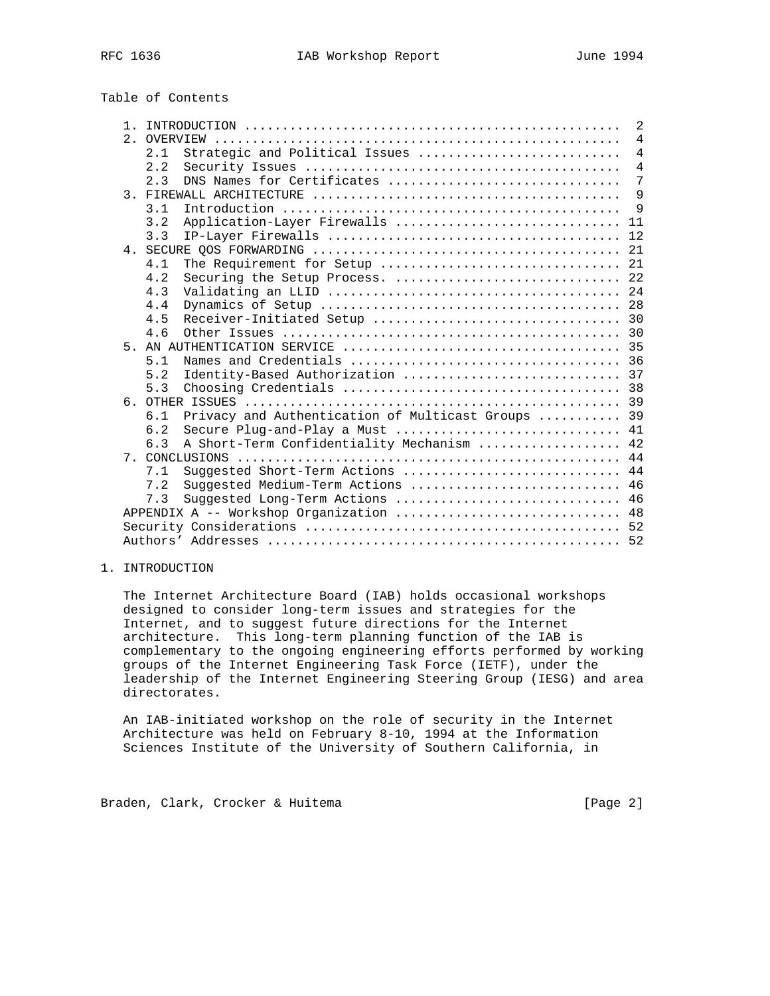| Table of Contents |  |
|-------------------|--|
|-------------------|--|

|  | $\mathbf{1}$ |                                                                                                           |                |  |  |  |  |
|--|--------------|-----------------------------------------------------------------------------------------------------------|----------------|--|--|--|--|
|  | 2.1          | OVERVIEW                                                                                                  | $\overline{4}$ |  |  |  |  |
|  |              | Strategic and Political Issues<br>2.1                                                                     | $\overline{4}$ |  |  |  |  |
|  |              | 2.2                                                                                                       | $\overline{4}$ |  |  |  |  |
|  |              | DNS Names for Certificates<br>2.3                                                                         | 7              |  |  |  |  |
|  |              |                                                                                                           |                |  |  |  |  |
|  |              | 3.1                                                                                                       | 9              |  |  |  |  |
|  |              | Application-Layer Firewalls  11<br>3.2                                                                    |                |  |  |  |  |
|  |              | 3.3                                                                                                       |                |  |  |  |  |
|  |              |                                                                                                           |                |  |  |  |  |
|  |              | 4.1                                                                                                       |                |  |  |  |  |
|  |              | Securing the Setup Process.  22<br>4.2                                                                    |                |  |  |  |  |
|  |              | 4.3                                                                                                       |                |  |  |  |  |
|  |              | 4.4                                                                                                       |                |  |  |  |  |
|  |              | 4.5                                                                                                       |                |  |  |  |  |
|  |              | 4.6                                                                                                       |                |  |  |  |  |
|  |              |                                                                                                           |                |  |  |  |  |
|  |              | Names and Credentials $\ldots, \ldots, \ldots, \ldots, \ldots, \ldots, \ldots, \ldots, \ldots, 36$<br>5.1 |                |  |  |  |  |
|  |              | 5.2                                                                                                       |                |  |  |  |  |
|  |              | 5.3                                                                                                       |                |  |  |  |  |
|  |              |                                                                                                           |                |  |  |  |  |
|  |              | Privacy and Authentication of Multicast Groups  39<br>6.1                                                 |                |  |  |  |  |
|  |              | Secure Plug-and-Play a Must  41<br>6.2                                                                    |                |  |  |  |  |
|  |              | A Short-Term Confidentiality Mechanism  42<br>6.3                                                         |                |  |  |  |  |
|  |              |                                                                                                           |                |  |  |  |  |
|  |              | Suggested Short-Term Actions  44<br>7.1                                                                   |                |  |  |  |  |
|  |              | Suggested Medium-Term Actions  46<br>7.2                                                                  |                |  |  |  |  |
|  |              | Suggested Long-Term Actions  46<br>7.3                                                                    |                |  |  |  |  |
|  |              | APPENDIX A -- Workshop Organization  48                                                                   |                |  |  |  |  |
|  |              |                                                                                                           |                |  |  |  |  |
|  |              |                                                                                                           |                |  |  |  |  |

# 1. INTRODUCTION

 The Internet Architecture Board (IAB) holds occasional workshops designed to consider long-term issues and strategies for the Internet, and to suggest future directions for the Internet architecture. This long-term planning function of the IAB is complementary to the ongoing engineering efforts performed by working groups of the Internet Engineering Task Force (IETF), under the leadership of the Internet Engineering Steering Group (IESG) and area directorates.

 An IAB-initiated workshop on the role of security in the Internet Architecture was held on February 8-10, 1994 at the Information Sciences Institute of the University of Southern California, in

Braden, Clark, Crocker & Huitema [Page 2]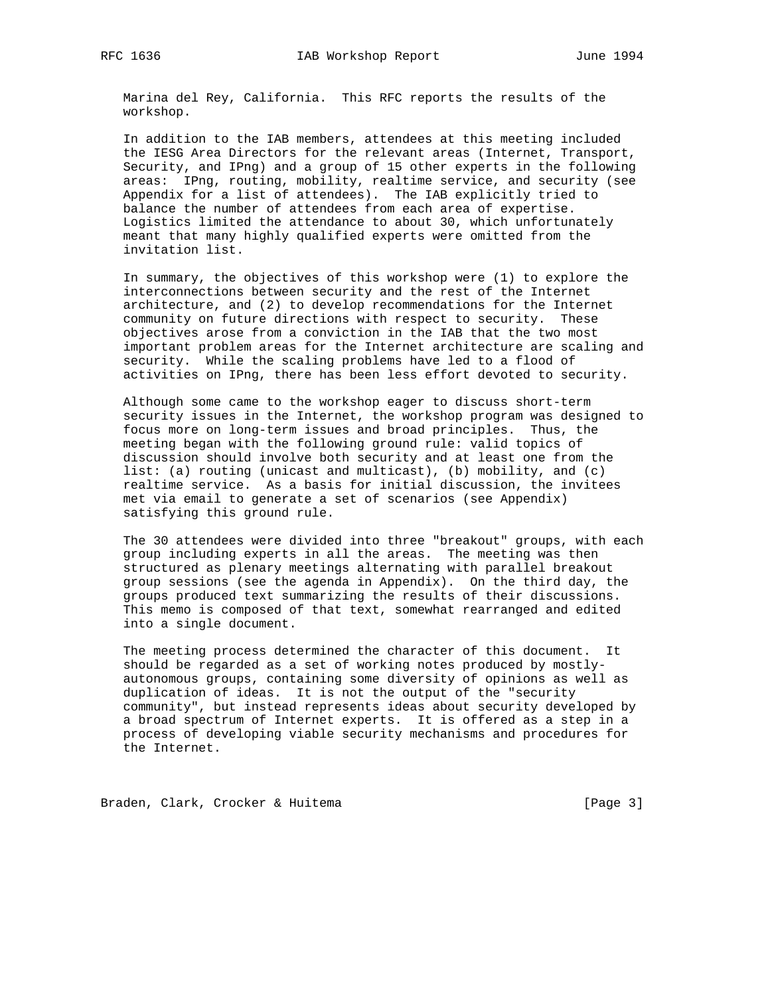Marina del Rey, California. This RFC reports the results of the workshop.

 In addition to the IAB members, attendees at this meeting included the IESG Area Directors for the relevant areas (Internet, Transport, Security, and IPng) and a group of 15 other experts in the following areas: IPng, routing, mobility, realtime service, and security (see Appendix for a list of attendees). The IAB explicitly tried to balance the number of attendees from each area of expertise. Logistics limited the attendance to about 30, which unfortunately meant that many highly qualified experts were omitted from the invitation list.

 In summary, the objectives of this workshop were (1) to explore the interconnections between security and the rest of the Internet architecture, and (2) to develop recommendations for the Internet community on future directions with respect to security. These objectives arose from a conviction in the IAB that the two most important problem areas for the Internet architecture are scaling and security. While the scaling problems have led to a flood of activities on IPng, there has been less effort devoted to security.

 Although some came to the workshop eager to discuss short-term security issues in the Internet, the workshop program was designed to focus more on long-term issues and broad principles. Thus, the meeting began with the following ground rule: valid topics of discussion should involve both security and at least one from the list: (a) routing (unicast and multicast), (b) mobility, and (c) realtime service. As a basis for initial discussion, the invitees met via email to generate a set of scenarios (see Appendix) satisfying this ground rule.

 The 30 attendees were divided into three "breakout" groups, with each group including experts in all the areas. The meeting was then structured as plenary meetings alternating with parallel breakout group sessions (see the agenda in Appendix). On the third day, the groups produced text summarizing the results of their discussions. This memo is composed of that text, somewhat rearranged and edited into a single document.

 The meeting process determined the character of this document. It should be regarded as a set of working notes produced by mostly autonomous groups, containing some diversity of opinions as well as duplication of ideas. It is not the output of the "security community", but instead represents ideas about security developed by a broad spectrum of Internet experts. It is offered as a step in a process of developing viable security mechanisms and procedures for the Internet.

Braden, Clark, Crocker & Huitema (Page 3)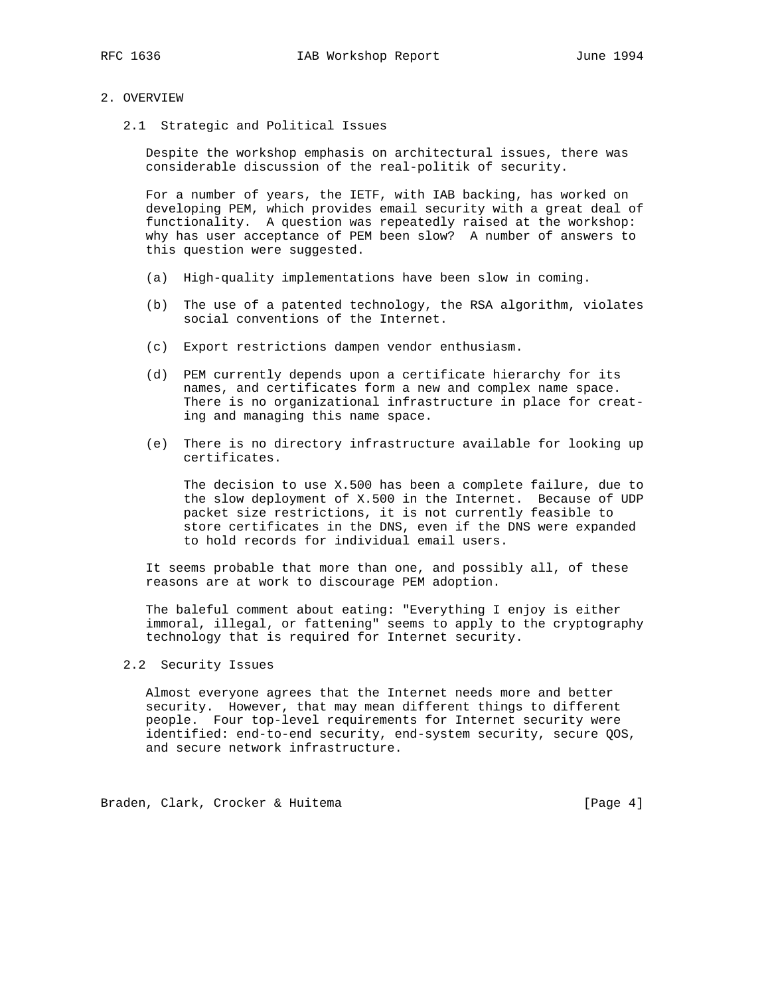# 2. OVERVIEW

2.1 Strategic and Political Issues

 Despite the workshop emphasis on architectural issues, there was considerable discussion of the real-politik of security.

 For a number of years, the IETF, with IAB backing, has worked on developing PEM, which provides email security with a great deal of functionality. A question was repeatedly raised at the workshop: why has user acceptance of PEM been slow? A number of answers to this question were suggested.

- (a) High-quality implementations have been slow in coming.
- (b) The use of a patented technology, the RSA algorithm, violates social conventions of the Internet.
- (c) Export restrictions dampen vendor enthusiasm.
- (d) PEM currently depends upon a certificate hierarchy for its names, and certificates form a new and complex name space. There is no organizational infrastructure in place for creat ing and managing this name space.
- (e) There is no directory infrastructure available for looking up certificates.

 The decision to use X.500 has been a complete failure, due to the slow deployment of X.500 in the Internet. Because of UDP packet size restrictions, it is not currently feasible to store certificates in the DNS, even if the DNS were expanded to hold records for individual email users.

 It seems probable that more than one, and possibly all, of these reasons are at work to discourage PEM adoption.

 The baleful comment about eating: "Everything I enjoy is either immoral, illegal, or fattening" seems to apply to the cryptography technology that is required for Internet security.

2.2 Security Issues

 Almost everyone agrees that the Internet needs more and better security. However, that may mean different things to different people. Four top-level requirements for Internet security were identified: end-to-end security, end-system security, secure QOS, and secure network infrastructure.

Braden, Clark, Crocker & Huitema (Page 4)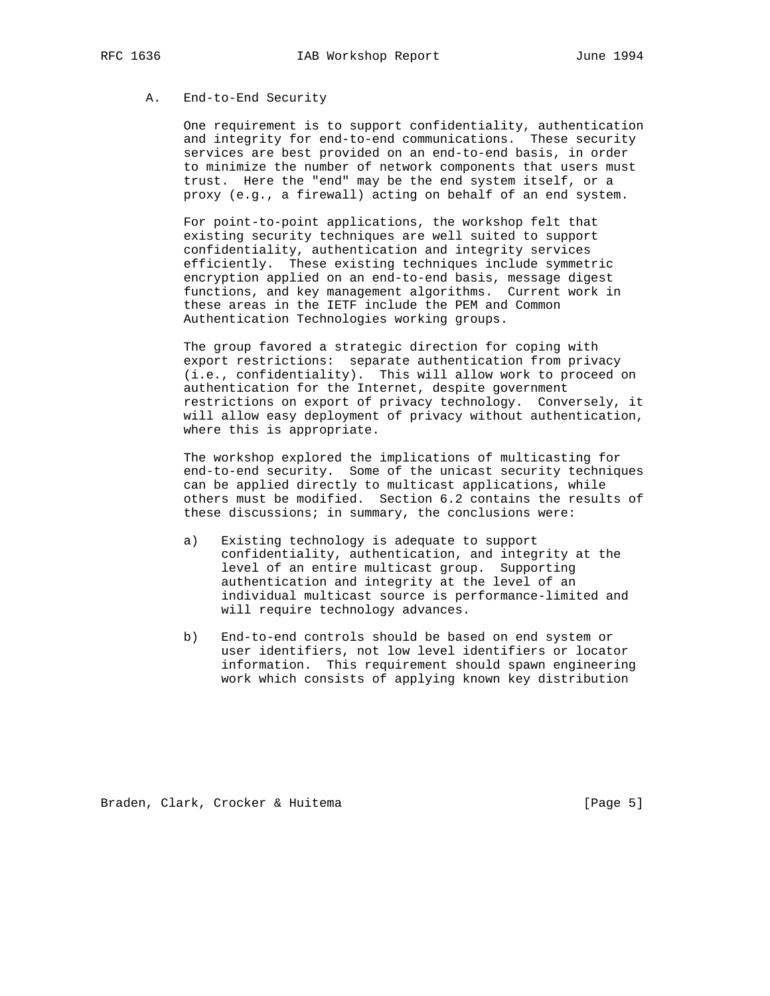# A. End-to-End Security

 One requirement is to support confidentiality, authentication and integrity for end-to-end communications. These security services are best provided on an end-to-end basis, in order to minimize the number of network components that users must trust. Here the "end" may be the end system itself, or a proxy (e.g., a firewall) acting on behalf of an end system.

 For point-to-point applications, the workshop felt that existing security techniques are well suited to support confidentiality, authentication and integrity services efficiently. These existing techniques include symmetric encryption applied on an end-to-end basis, message digest functions, and key management algorithms. Current work in these areas in the IETF include the PEM and Common Authentication Technologies working groups.

 The group favored a strategic direction for coping with export restrictions: separate authentication from privacy (i.e., confidentiality). This will allow work to proceed on authentication for the Internet, despite government restrictions on export of privacy technology. Conversely, it will allow easy deployment of privacy without authentication, where this is appropriate.

 The workshop explored the implications of multicasting for end-to-end security. Some of the unicast security techniques can be applied directly to multicast applications, while others must be modified. Section 6.2 contains the results of these discussions; in summary, the conclusions were:

- a) Existing technology is adequate to support confidentiality, authentication, and integrity at the level of an entire multicast group. Supporting authentication and integrity at the level of an individual multicast source is performance-limited and will require technology advances.
- b) End-to-end controls should be based on end system or user identifiers, not low level identifiers or locator information. This requirement should spawn engineering work which consists of applying known key distribution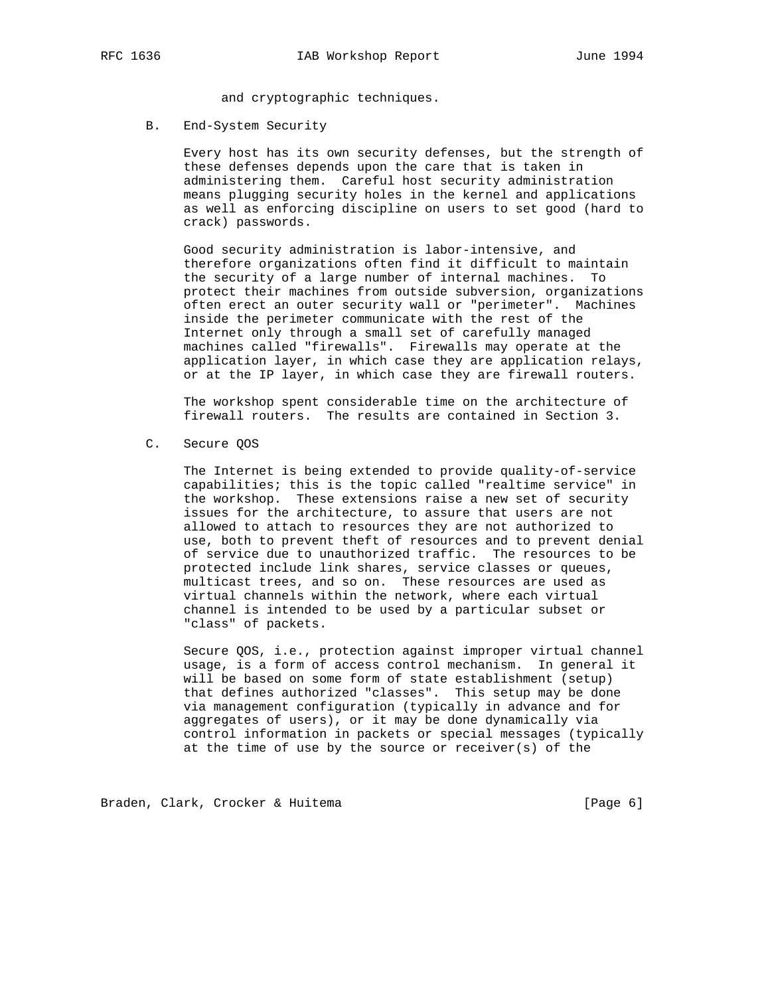and cryptographic techniques.

B. End-System Security

 Every host has its own security defenses, but the strength of these defenses depends upon the care that is taken in administering them. Careful host security administration means plugging security holes in the kernel and applications as well as enforcing discipline on users to set good (hard to crack) passwords.

 Good security administration is labor-intensive, and therefore organizations often find it difficult to maintain the security of a large number of internal machines. To protect their machines from outside subversion, organizations often erect an outer security wall or "perimeter". Machines inside the perimeter communicate with the rest of the Internet only through a small set of carefully managed machines called "firewalls". Firewalls may operate at the application layer, in which case they are application relays, or at the IP layer, in which case they are firewall routers.

 The workshop spent considerable time on the architecture of firewall routers. The results are contained in Section 3.

C. Secure QOS

 The Internet is being extended to provide quality-of-service capabilities; this is the topic called "realtime service" in the workshop. These extensions raise a new set of security issues for the architecture, to assure that users are not allowed to attach to resources they are not authorized to use, both to prevent theft of resources and to prevent denial of service due to unauthorized traffic. The resources to be protected include link shares, service classes or queues, multicast trees, and so on. These resources are used as virtual channels within the network, where each virtual channel is intended to be used by a particular subset or "class" of packets.

 Secure QOS, i.e., protection against improper virtual channel usage, is a form of access control mechanism. In general it will be based on some form of state establishment (setup) that defines authorized "classes". This setup may be done via management configuration (typically in advance and for aggregates of users), or it may be done dynamically via control information in packets or special messages (typically at the time of use by the source or receiver(s) of the

Braden, Clark, Crocker & Huitema (Page 6)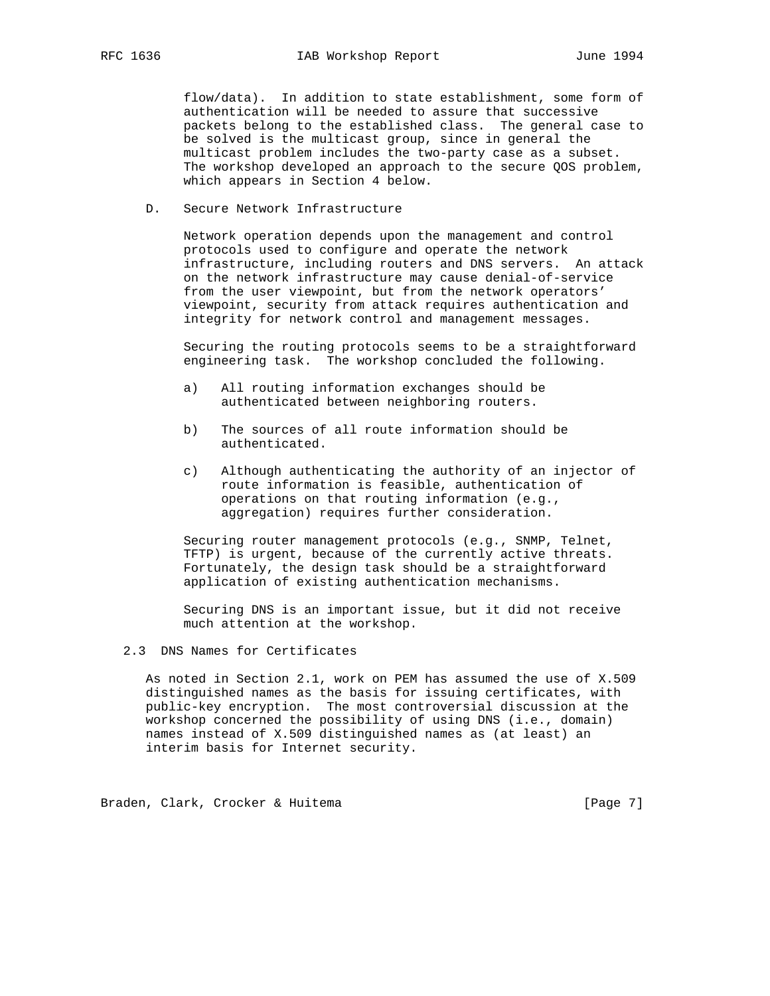flow/data). In addition to state establishment, some form of authentication will be needed to assure that successive packets belong to the established class. The general case to be solved is the multicast group, since in general the multicast problem includes the two-party case as a subset. The workshop developed an approach to the secure QOS problem, which appears in Section 4 below.

D. Secure Network Infrastructure

 Network operation depends upon the management and control protocols used to configure and operate the network infrastructure, including routers and DNS servers. An attack on the network infrastructure may cause denial-of-service from the user viewpoint, but from the network operators' viewpoint, security from attack requires authentication and integrity for network control and management messages.

 Securing the routing protocols seems to be a straightforward engineering task. The workshop concluded the following.

- a) All routing information exchanges should be authenticated between neighboring routers.
- b) The sources of all route information should be authenticated.
- c) Although authenticating the authority of an injector of route information is feasible, authentication of operations on that routing information (e.g., aggregation) requires further consideration.

 Securing router management protocols (e.g., SNMP, Telnet, TFTP) is urgent, because of the currently active threats. Fortunately, the design task should be a straightforward application of existing authentication mechanisms.

 Securing DNS is an important issue, but it did not receive much attention at the workshop.

# 2.3 DNS Names for Certificates

 As noted in Section 2.1, work on PEM has assumed the use of X.509 distinguished names as the basis for issuing certificates, with public-key encryption. The most controversial discussion at the workshop concerned the possibility of using DNS (i.e., domain) names instead of X.509 distinguished names as (at least) an interim basis for Internet security.

Braden, Clark, Crocker & Huitema (Page 7)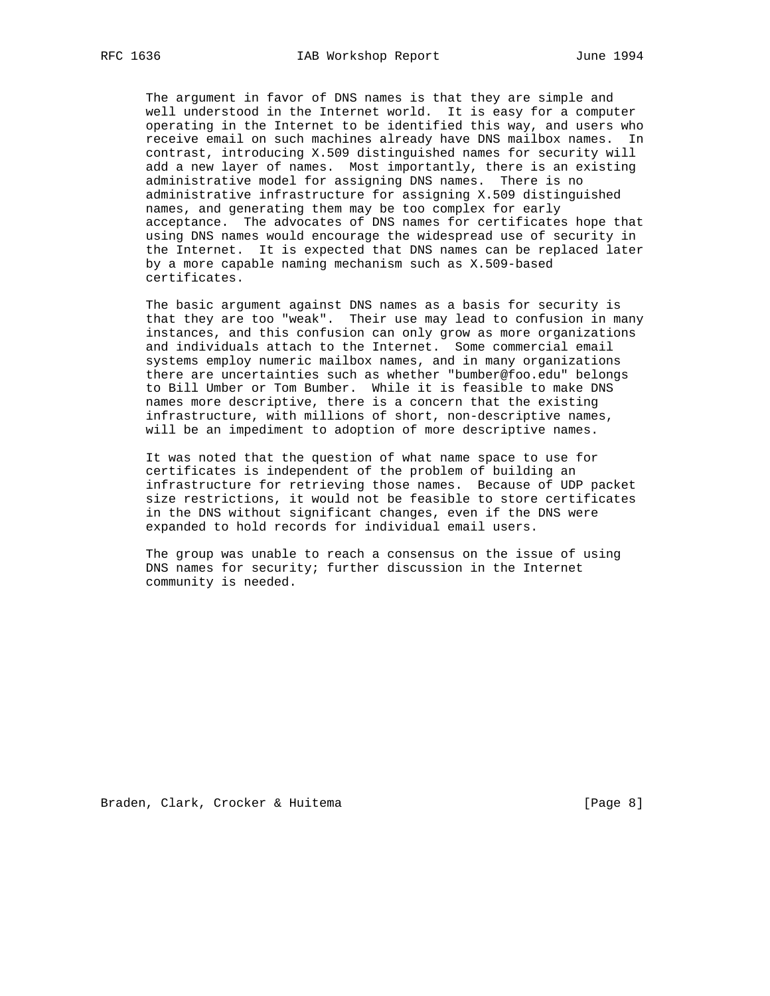The argument in favor of DNS names is that they are simple and well understood in the Internet world. It is easy for a computer operating in the Internet to be identified this way, and users who receive email on such machines already have DNS mailbox names. In contrast, introducing X.509 distinguished names for security will add a new layer of names. Most importantly, there is an existing administrative model for assigning DNS names. There is no administrative infrastructure for assigning X.509 distinguished names, and generating them may be too complex for early acceptance. The advocates of DNS names for certificates hope that using DNS names would encourage the widespread use of security in the Internet. It is expected that DNS names can be replaced later by a more capable naming mechanism such as X.509-based certificates.

 The basic argument against DNS names as a basis for security is that they are too "weak". Their use may lead to confusion in many instances, and this confusion can only grow as more organizations and individuals attach to the Internet. Some commercial email systems employ numeric mailbox names, and in many organizations there are uncertainties such as whether "bumber@foo.edu" belongs to Bill Umber or Tom Bumber. While it is feasible to make DNS names more descriptive, there is a concern that the existing infrastructure, with millions of short, non-descriptive names, will be an impediment to adoption of more descriptive names.

 It was noted that the question of what name space to use for certificates is independent of the problem of building an infrastructure for retrieving those names. Because of UDP packet size restrictions, it would not be feasible to store certificates in the DNS without significant changes, even if the DNS were expanded to hold records for individual email users.

 The group was unable to reach a consensus on the issue of using DNS names for security; further discussion in the Internet community is needed.

Braden, Clark, Crocker & Huitema (Page 8)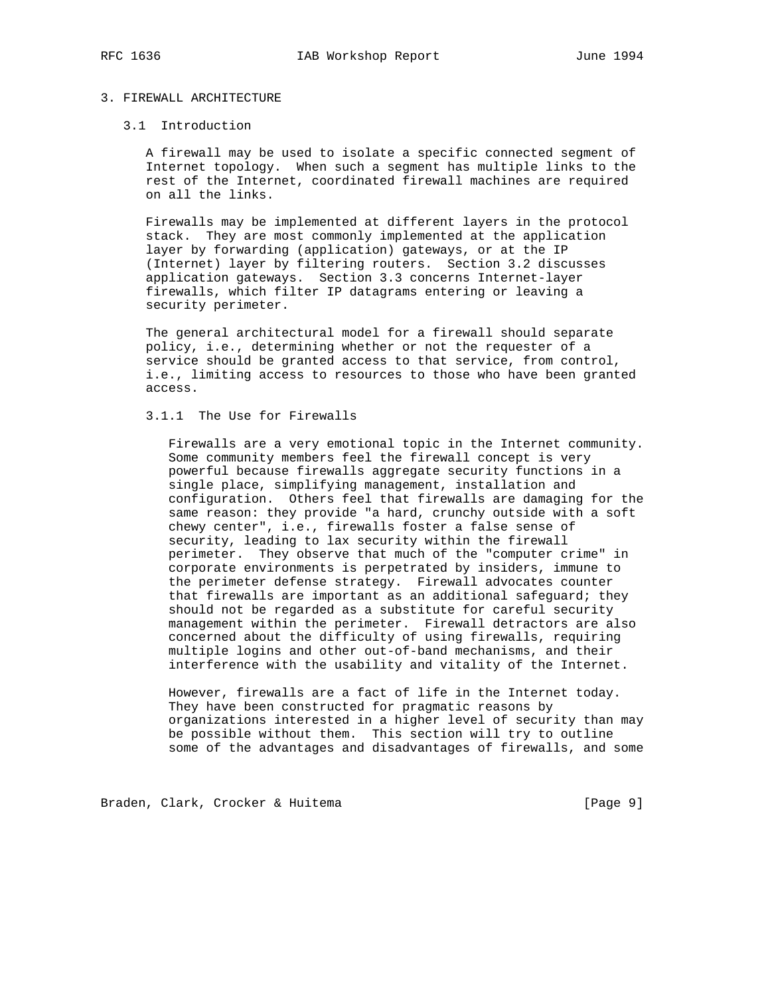# 3. FIREWALL ARCHITECTURE

### 3.1 Introduction

 A firewall may be used to isolate a specific connected segment of Internet topology. When such a segment has multiple links to the rest of the Internet, coordinated firewall machines are required on all the links.

 Firewalls may be implemented at different layers in the protocol stack. They are most commonly implemented at the application layer by forwarding (application) gateways, or at the IP (Internet) layer by filtering routers. Section 3.2 discusses application gateways. Section 3.3 concerns Internet-layer firewalls, which filter IP datagrams entering or leaving a security perimeter.

 The general architectural model for a firewall should separate policy, i.e., determining whether or not the requester of a service should be granted access to that service, from control, i.e., limiting access to resources to those who have been granted access.

### 3.1.1 The Use for Firewalls

 Firewalls are a very emotional topic in the Internet community. Some community members feel the firewall concept is very powerful because firewalls aggregate security functions in a single place, simplifying management, installation and configuration. Others feel that firewalls are damaging for the same reason: they provide "a hard, crunchy outside with a soft chewy center", i.e., firewalls foster a false sense of security, leading to lax security within the firewall perimeter. They observe that much of the "computer crime" in corporate environments is perpetrated by insiders, immune to the perimeter defense strategy. Firewall advocates counter that firewalls are important as an additional safeguard; they should not be regarded as a substitute for careful security management within the perimeter. Firewall detractors are also concerned about the difficulty of using firewalls, requiring multiple logins and other out-of-band mechanisms, and their interference with the usability and vitality of the Internet.

> However, firewalls are a fact of life in the Internet today. They have been constructed for pragmatic reasons by organizations interested in a higher level of security than may be possible without them. This section will try to outline some of the advantages and disadvantages of firewalls, and some

Braden, Clark, Crocker & Huitema (Page 9)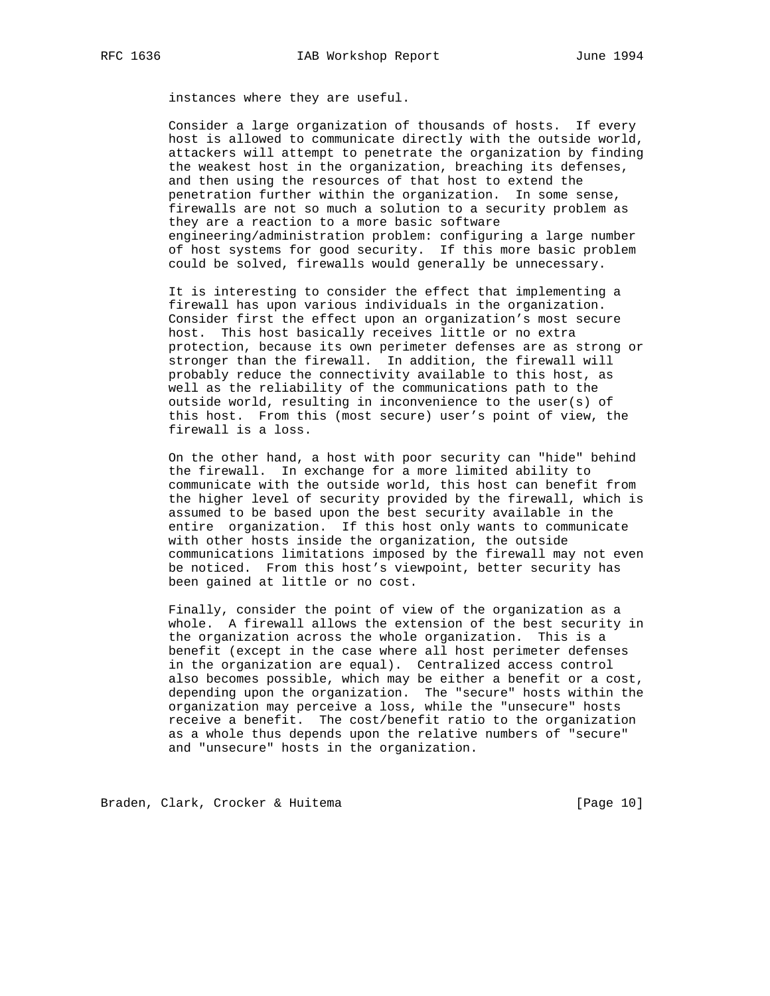instances where they are useful.

 Consider a large organization of thousands of hosts. If every host is allowed to communicate directly with the outside world, attackers will attempt to penetrate the organization by finding the weakest host in the organization, breaching its defenses, and then using the resources of that host to extend the penetration further within the organization. In some sense, firewalls are not so much a solution to a security problem as they are a reaction to a more basic software engineering/administration problem: configuring a large number of host systems for good security. If this more basic problem could be solved, firewalls would generally be unnecessary.

 It is interesting to consider the effect that implementing a firewall has upon various individuals in the organization. Consider first the effect upon an organization's most secure host. This host basically receives little or no extra protection, because its own perimeter defenses are as strong or stronger than the firewall. In addition, the firewall will probably reduce the connectivity available to this host, as well as the reliability of the communications path to the outside world, resulting in inconvenience to the user(s) of this host. From this (most secure) user's point of view, the firewall is a loss.

 On the other hand, a host with poor security can "hide" behind the firewall. In exchange for a more limited ability to communicate with the outside world, this host can benefit from the higher level of security provided by the firewall, which is assumed to be based upon the best security available in the entire organization. If this host only wants to communicate with other hosts inside the organization, the outside communications limitations imposed by the firewall may not even be noticed. From this host's viewpoint, better security has been gained at little or no cost.

 Finally, consider the point of view of the organization as a whole. A firewall allows the extension of the best security in the organization across the whole organization. This is a benefit (except in the case where all host perimeter defenses in the organization are equal). Centralized access control also becomes possible, which may be either a benefit or a cost, depending upon the organization. The "secure" hosts within the organization may perceive a loss, while the "unsecure" hosts receive a benefit. The cost/benefit ratio to the organization as a whole thus depends upon the relative numbers of "secure" and "unsecure" hosts in the organization.

Braden, Clark, Crocker & Huitema [Page 10]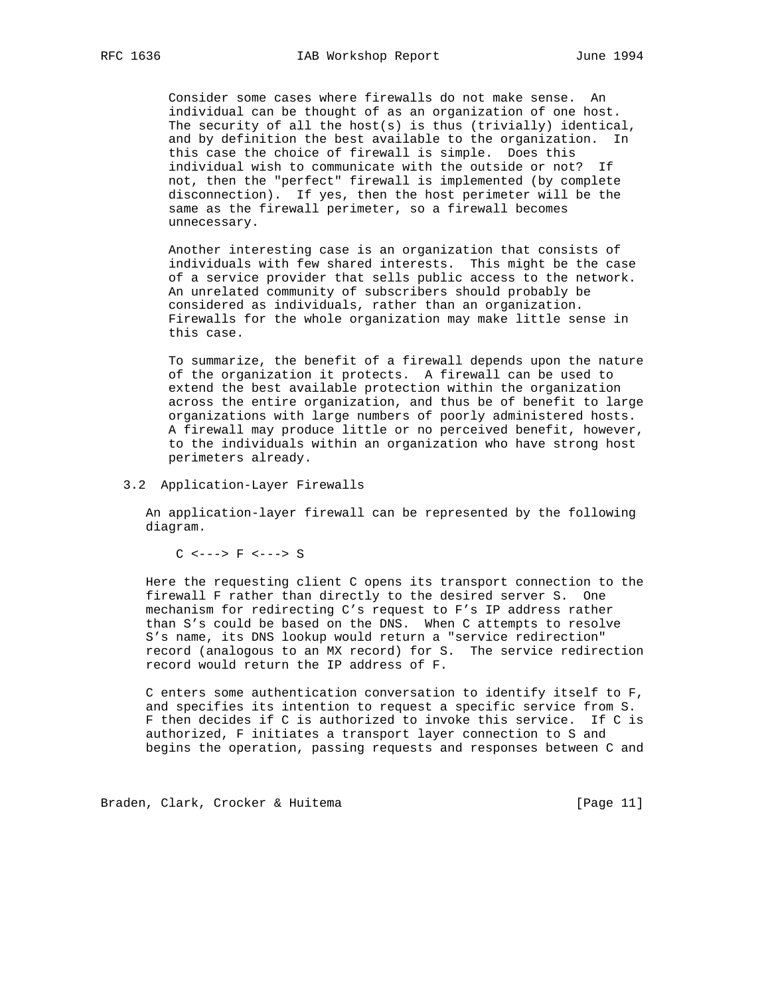Consider some cases where firewalls do not make sense. An individual can be thought of as an organization of one host. The security of all the host(s) is thus (trivially) identical, and by definition the best available to the organization. In this case the choice of firewall is simple. Does this individual wish to communicate with the outside or not? If not, then the "perfect" firewall is implemented (by complete disconnection). If yes, then the host perimeter will be the same as the firewall perimeter, so a firewall becomes unnecessary.

 Another interesting case is an organization that consists of individuals with few shared interests. This might be the case of a service provider that sells public access to the network. An unrelated community of subscribers should probably be considered as individuals, rather than an organization. Firewalls for the whole organization may make little sense in this case.

 To summarize, the benefit of a firewall depends upon the nature of the organization it protects. A firewall can be used to extend the best available protection within the organization across the entire organization, and thus be of benefit to large organizations with large numbers of poorly administered hosts. A firewall may produce little or no perceived benefit, however, to the individuals within an organization who have strong host perimeters already.

#### 3.2 Application-Layer Firewalls

 An application-layer firewall can be represented by the following diagram.

C <---> F <---> S

 Here the requesting client C opens its transport connection to the firewall F rather than directly to the desired server S. One mechanism for redirecting C's request to F's IP address rather than S's could be based on the DNS. When C attempts to resolve S's name, its DNS lookup would return a "service redirection" record (analogous to an MX record) for S. The service redirection record would return the IP address of F.

 C enters some authentication conversation to identify itself to F, and specifies its intention to request a specific service from S. F then decides if C is authorized to invoke this service. If C is authorized, F initiates a transport layer connection to S and begins the operation, passing requests and responses between C and

Braden, Clark, Crocker & Huitema [Page 11]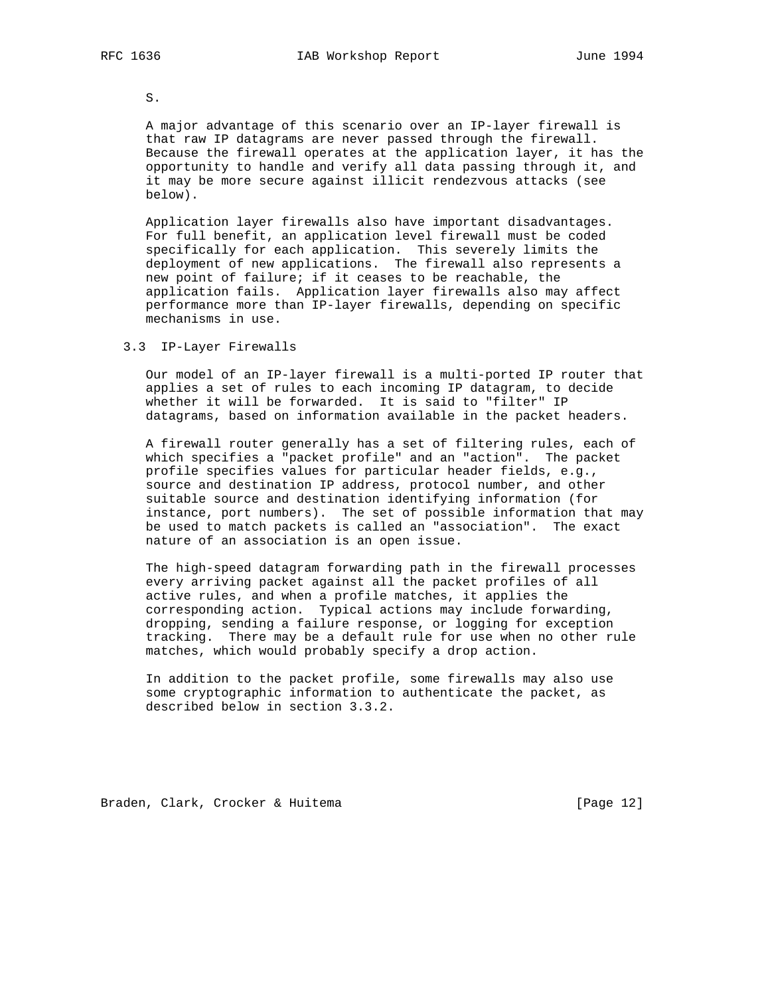S.

 A major advantage of this scenario over an IP-layer firewall is that raw IP datagrams are never passed through the firewall. Because the firewall operates at the application layer, it has the opportunity to handle and verify all data passing through it, and it may be more secure against illicit rendezvous attacks (see below).

 Application layer firewalls also have important disadvantages. For full benefit, an application level firewall must be coded specifically for each application. This severely limits the deployment of new applications. The firewall also represents a new point of failure; if it ceases to be reachable, the application fails. Application layer firewalls also may affect performance more than IP-layer firewalls, depending on specific mechanisms in use.

# 3.3 IP-Layer Firewalls

 Our model of an IP-layer firewall is a multi-ported IP router that applies a set of rules to each incoming IP datagram, to decide whether it will be forwarded. It is said to "filter" IP datagrams, based on information available in the packet headers.

 A firewall router generally has a set of filtering rules, each of which specifies a "packet profile" and an "action". The packet profile specifies values for particular header fields, e.g., source and destination IP address, protocol number, and other suitable source and destination identifying information (for instance, port numbers). The set of possible information that may be used to match packets is called an "association". The exact nature of an association is an open issue.

 The high-speed datagram forwarding path in the firewall processes every arriving packet against all the packet profiles of all active rules, and when a profile matches, it applies the corresponding action. Typical actions may include forwarding, dropping, sending a failure response, or logging for exception tracking. There may be a default rule for use when no other rule matches, which would probably specify a drop action.

 In addition to the packet profile, some firewalls may also use some cryptographic information to authenticate the packet, as described below in section 3.3.2.

Braden, Clark, Crocker & Huitema [Page 12]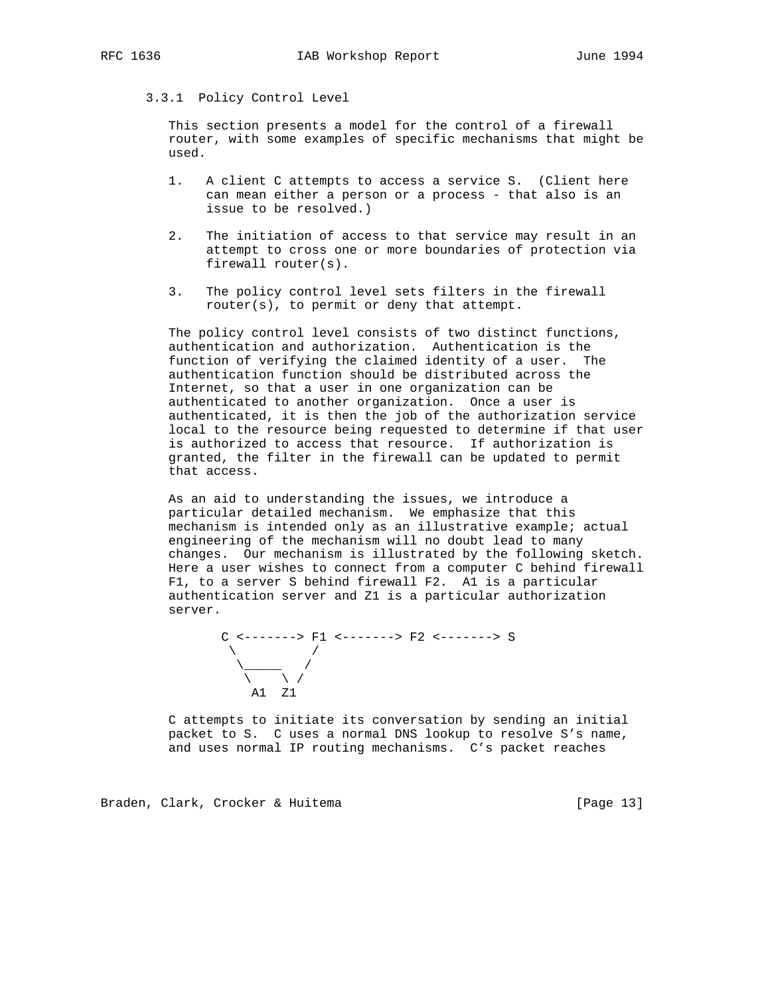# 3.3.1 Policy Control Level

 This section presents a model for the control of a firewall router, with some examples of specific mechanisms that might be used.

- 1. A client C attempts to access a service S. (Client here can mean either a person or a process - that also is an issue to be resolved.)
- 2. The initiation of access to that service may result in an attempt to cross one or more boundaries of protection via firewall router(s).
- 3. The policy control level sets filters in the firewall router(s), to permit or deny that attempt.

 The policy control level consists of two distinct functions, authentication and authorization. Authentication is the function of verifying the claimed identity of a user. The authentication function should be distributed across the Internet, so that a user in one organization can be authenticated to another organization. Once a user is authenticated, it is then the job of the authorization service local to the resource being requested to determine if that user is authorized to access that resource. If authorization is granted, the filter in the firewall can be updated to permit that access.

 As an aid to understanding the issues, we introduce a particular detailed mechanism. We emphasize that this mechanism is intended only as an illustrative example; actual engineering of the mechanism will no doubt lead to many changes. Our mechanism is illustrated by the following sketch. Here a user wishes to connect from a computer C behind firewall F1, to a server S behind firewall F2. A1 is a particular authentication server and Z1 is a particular authorization server.

 C <-------> F1 <-------> F2 <-------> S  $\sqrt{2}$  /  $\sqrt{2}$  /  $\sqrt{2}$  /  $\sqrt{2}$  /  $\sqrt{2}$  /  $\sqrt{2}$  /  $\sqrt{2}$  /  $\sqrt{2}$  /  $\sqrt{2}$  /  $\sqrt{2}$  /  $\sqrt{2}$  /  $\sqrt{2}$  /  $\sqrt{2}$  /  $\sqrt{2}$  /  $\sqrt{2}$  /  $\sqrt{2}$  /  $\sqrt{2}$  /  $\sqrt{2}$  /  $\sqrt{2}$  /  $\sqrt{2}$  /  $\sqrt{2}$  /  $\sqrt{2}$  / \\_\_\_\_\_ /  $\qquad \qquad \backslash$ A1 Z1

> C attempts to initiate its conversation by sending an initial packet to S. C uses a normal DNS lookup to resolve S's name, and uses normal IP routing mechanisms. C's packet reaches

Braden, Clark, Crocker & Huitema [Page 13]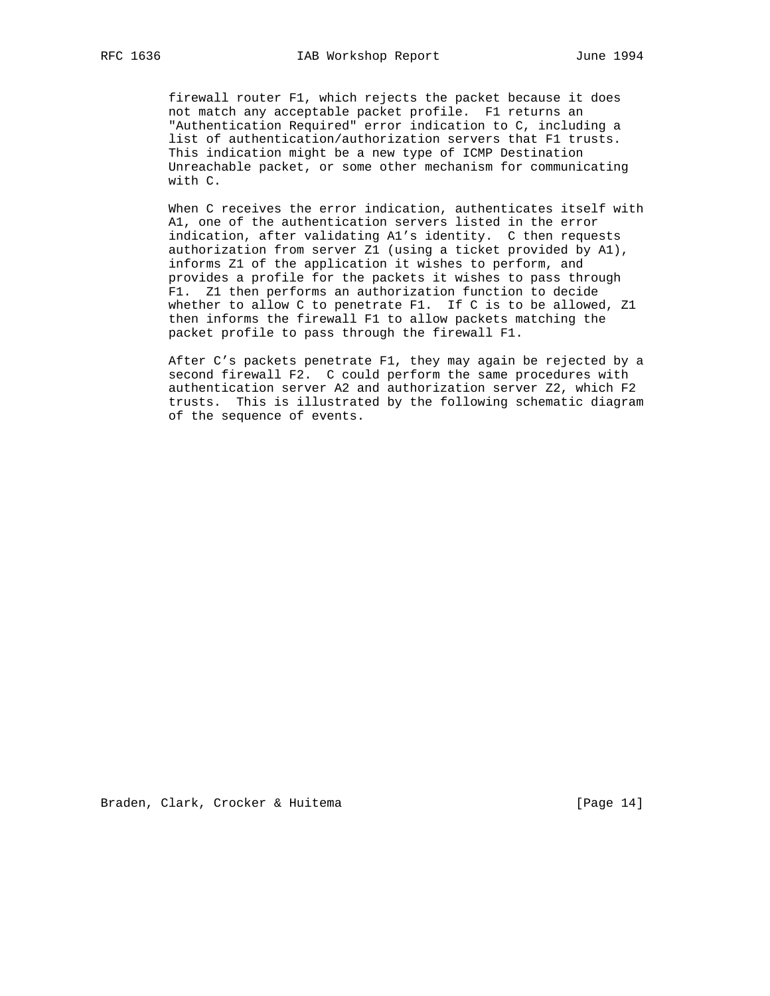firewall router F1, which rejects the packet because it does not match any acceptable packet profile. F1 returns an "Authentication Required" error indication to C, including a list of authentication/authorization servers that F1 trusts. This indication might be a new type of ICMP Destination Unreachable packet, or some other mechanism for communicating with C.

 When C receives the error indication, authenticates itself with A1, one of the authentication servers listed in the error indication, after validating A1's identity. C then requests authorization from server Z1 (using a ticket provided by A1), informs Z1 of the application it wishes to perform, and provides a profile for the packets it wishes to pass through F1. Z1 then performs an authorization function to decide whether to allow C to penetrate F1. If C is to be allowed, Z1 then informs the firewall F1 to allow packets matching the packet profile to pass through the firewall F1.

 After C's packets penetrate F1, they may again be rejected by a second firewall F2. C could perform the same procedures with authentication server A2 and authorization server Z2, which F2 trusts. This is illustrated by the following schematic diagram of the sequence of events.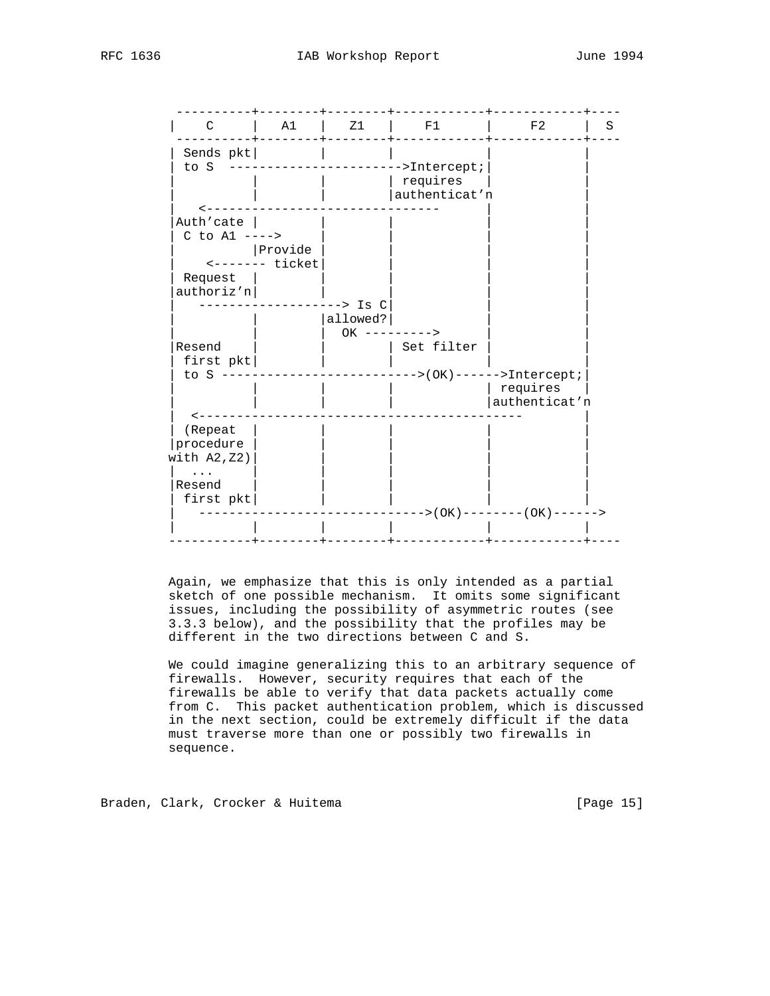| $\mathsf{C}$    | A1              | Z1              | F1                               | F2                         | S |
|-----------------|-----------------|-----------------|----------------------------------|----------------------------|---|
| Sends pkt       |                 |                 |                                  |                            |   |
| to S            |                 |                 | --------------------->Intercept; |                            |   |
|                 |                 |                 | requires                         |                            |   |
|                 |                 |                 | authenticat'n                    |                            |   |
|                 |                 |                 |                                  |                            |   |
| Auth'cate       |                 |                 |                                  |                            |   |
| C to $AI$ ----> |                 |                 |                                  |                            |   |
|                 | Provide         |                 |                                  |                            |   |
|                 | $------$ ticket |                 |                                  |                            |   |
| Request         |                 |                 |                                  |                            |   |
| authoriz'n      |                 |                 |                                  |                            |   |
|                 |                 | --> Is C        |                                  |                            |   |
|                 |                 | allowed?        |                                  |                            |   |
|                 |                 | $OK$ ---------> |                                  |                            |   |
| Resend          |                 |                 | Set filter                       |                            |   |
| first $pkt$     |                 |                 |                                  |                            |   |
| to $S$ ---      |                 |                 |                                  | $---->(OK)---->Intercept;$ |   |
|                 |                 |                 |                                  | requires                   |   |
|                 |                 |                 |                                  | authenticat'n              |   |
| < -             |                 |                 |                                  |                            |   |
| (Repeat         |                 |                 |                                  |                            |   |
| procedure       |                 |                 |                                  |                            |   |
| with $A2, Z2)$  |                 |                 |                                  |                            |   |
|                 |                 |                 |                                  |                            |   |
| Resend          |                 |                 |                                  |                            |   |
|                 |                 |                 |                                  |                            |   |
|                 |                 |                 |                                  |                            |   |
| first pkt       |                 |                 |                                  |                            |   |
|                 |                 |                 |                                  | ->(OK)--------(OK)------>  |   |

 Again, we emphasize that this is only intended as a partial sketch of one possible mechanism. It omits some significant issues, including the possibility of asymmetric routes (see 3.3.3 below), and the possibility that the profiles may be different in the two directions between C and S.

 We could imagine generalizing this to an arbitrary sequence of firewalls. However, security requires that each of the firewalls be able to verify that data packets actually come from C. This packet authentication problem, which is discussed in the next section, could be extremely difficult if the data must traverse more than one or possibly two firewalls in sequence.

Braden, Clark, Crocker & Huitema [Page 15]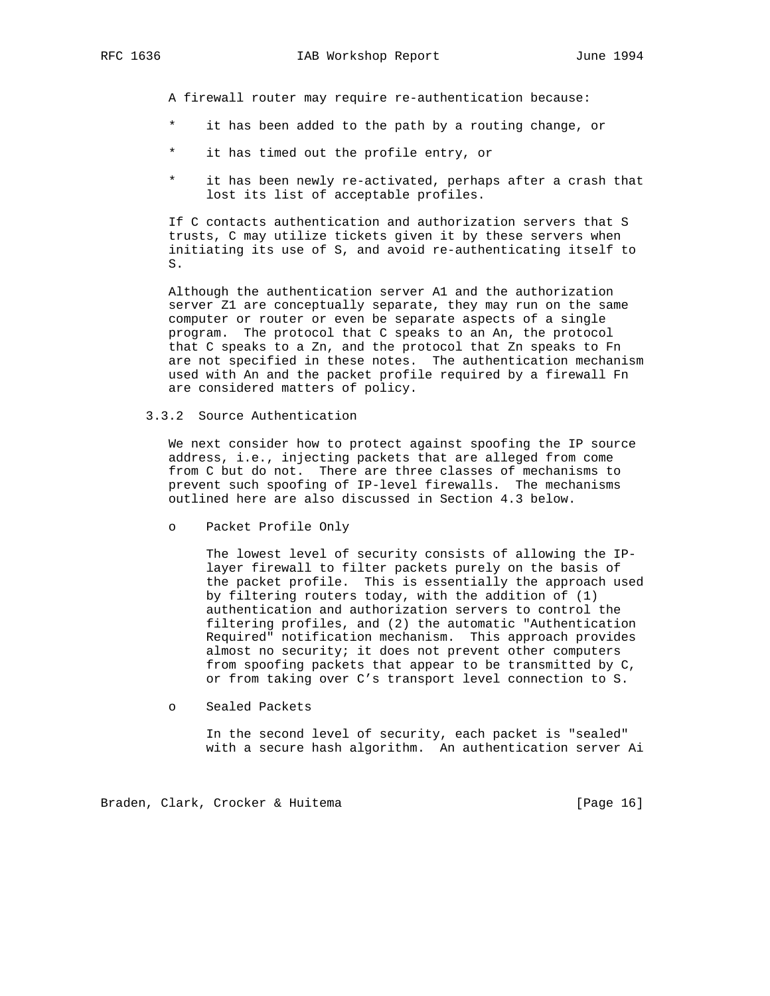A firewall router may require re-authentication because:

- it has been added to the path by a routing change, or
- \* it has timed out the profile entry, or
- \* it has been newly re-activated, perhaps after a crash that lost its list of acceptable profiles.

 If C contacts authentication and authorization servers that S trusts, C may utilize tickets given it by these servers when initiating its use of S, and avoid re-authenticating itself to S.

 Although the authentication server A1 and the authorization server Z1 are conceptually separate, they may run on the same computer or router or even be separate aspects of a single program. The protocol that C speaks to an An, the protocol that C speaks to a Zn, and the protocol that Zn speaks to Fn are not specified in these notes. The authentication mechanism used with An and the packet profile required by a firewall Fn are considered matters of policy.

3.3.2 Source Authentication

 We next consider how to protect against spoofing the IP source address, i.e., injecting packets that are alleged from come from C but do not. There are three classes of mechanisms to prevent such spoofing of IP-level firewalls. The mechanisms outlined here are also discussed in Section 4.3 below.

o Packet Profile Only

 The lowest level of security consists of allowing the IP layer firewall to filter packets purely on the basis of the packet profile. This is essentially the approach used by filtering routers today, with the addition of (1) authentication and authorization servers to control the filtering profiles, and (2) the automatic "Authentication Required" notification mechanism. This approach provides almost no security; it does not prevent other computers from spoofing packets that appear to be transmitted by C, or from taking over C's transport level connection to S.

o Sealed Packets

 In the second level of security, each packet is "sealed" with a secure hash algorithm. An authentication server Ai

Braden, Clark, Crocker & Huitema [Page 16]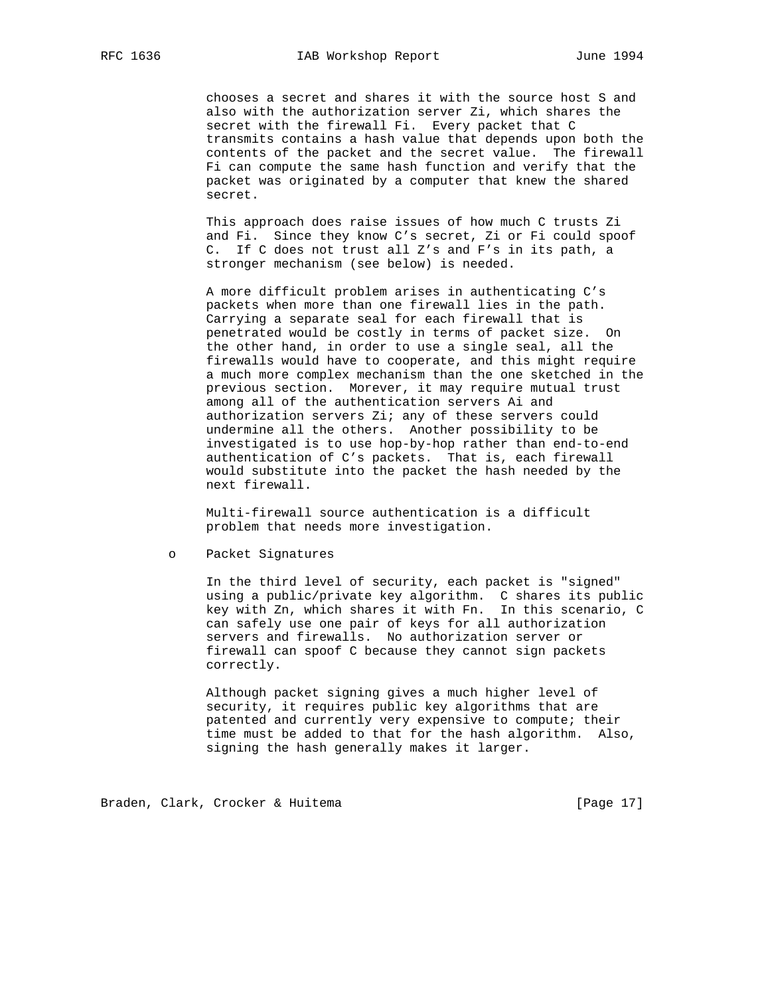chooses a secret and shares it with the source host S and also with the authorization server Zi, which shares the secret with the firewall Fi. Every packet that C transmits contains a hash value that depends upon both the contents of the packet and the secret value. The firewall Fi can compute the same hash function and verify that the packet was originated by a computer that knew the shared secret.

 This approach does raise issues of how much C trusts Zi and Fi. Since they know C's secret, Zi or Fi could spoof C. If C does not trust all Z's and F's in its path, a stronger mechanism (see below) is needed.

 A more difficult problem arises in authenticating C's packets when more than one firewall lies in the path. Carrying a separate seal for each firewall that is penetrated would be costly in terms of packet size. On the other hand, in order to use a single seal, all the firewalls would have to cooperate, and this might require a much more complex mechanism than the one sketched in the previous section. Morever, it may require mutual trust among all of the authentication servers Ai and authorization servers Zi; any of these servers could undermine all the others. Another possibility to be investigated is to use hop-by-hop rather than end-to-end authentication of C's packets. That is, each firewall would substitute into the packet the hash needed by the next firewall.

 Multi-firewall source authentication is a difficult problem that needs more investigation.

o Packet Signatures

 In the third level of security, each packet is "signed" using a public/private key algorithm. C shares its public key with Zn, which shares it with Fn. In this scenario, C can safely use one pair of keys for all authorization servers and firewalls. No authorization server or firewall can spoof C because they cannot sign packets correctly.

> Although packet signing gives a much higher level of security, it requires public key algorithms that are patented and currently very expensive to compute; their time must be added to that for the hash algorithm. Also, signing the hash generally makes it larger.

Braden, Clark, Crocker & Huitema [Page 17]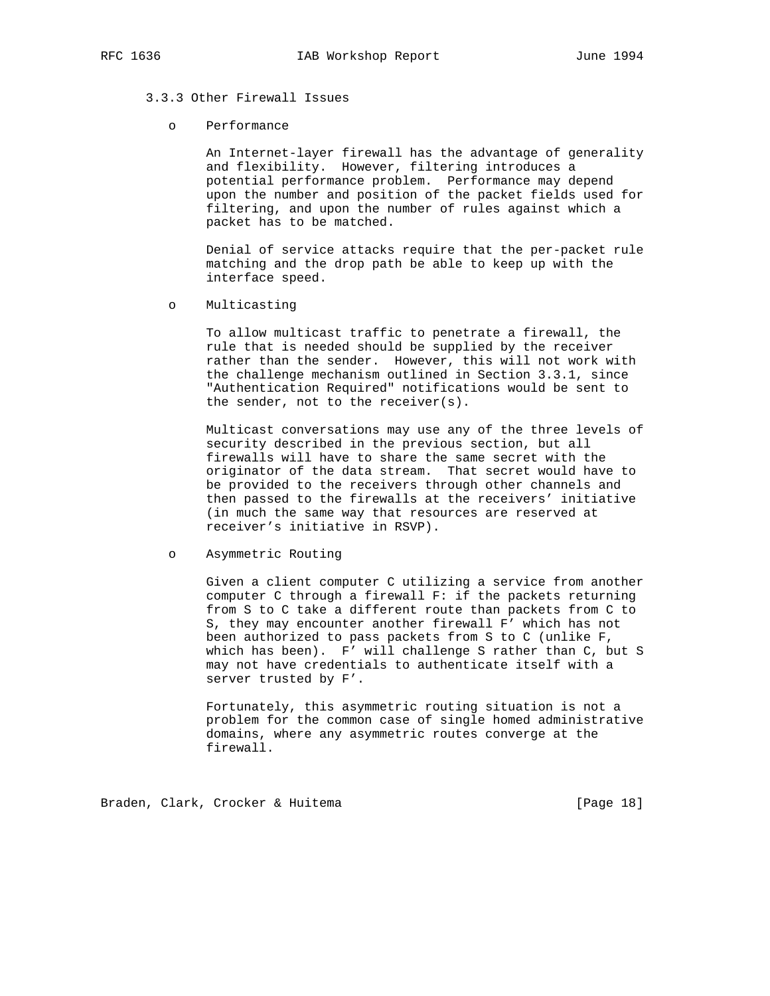# 3.3.3 Other Firewall Issues

#### o Performance

 An Internet-layer firewall has the advantage of generality and flexibility. However, filtering introduces a potential performance problem. Performance may depend upon the number and position of the packet fields used for filtering, and upon the number of rules against which a packet has to be matched.

 Denial of service attacks require that the per-packet rule matching and the drop path be able to keep up with the interface speed.

o Multicasting

 To allow multicast traffic to penetrate a firewall, the rule that is needed should be supplied by the receiver rather than the sender. However, this will not work with the challenge mechanism outlined in Section 3.3.1, since "Authentication Required" notifications would be sent to the sender, not to the receiver(s).

 Multicast conversations may use any of the three levels of security described in the previous section, but all firewalls will have to share the same secret with the originator of the data stream. That secret would have to be provided to the receivers through other channels and then passed to the firewalls at the receivers' initiative (in much the same way that resources are reserved at receiver's initiative in RSVP).

 Given a client computer C utilizing a service from another computer C through a firewall F: if the packets returning from S to C take a different route than packets from C to S, they may encounter another firewall F' which has not been authorized to pass packets from S to C (unlike F, which has been). F' will challenge S rather than C, but S may not have credentials to authenticate itself with a server trusted by F'.

 Fortunately, this asymmetric routing situation is not a problem for the common case of single homed administrative domains, where any asymmetric routes converge at the firewall.

Braden, Clark, Crocker & Huitema [Page 18]

o Asymmetric Routing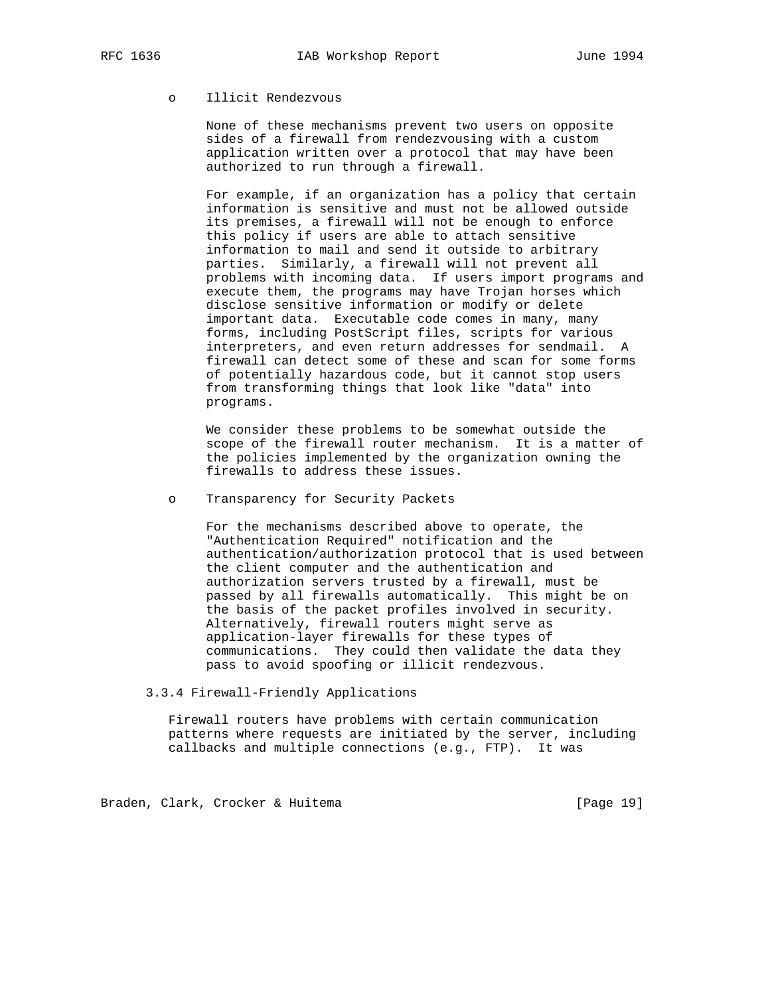# o Illicit Rendezvous

 None of these mechanisms prevent two users on opposite sides of a firewall from rendezvousing with a custom application written over a protocol that may have been authorized to run through a firewall.

 For example, if an organization has a policy that certain information is sensitive and must not be allowed outside its premises, a firewall will not be enough to enforce this policy if users are able to attach sensitive information to mail and send it outside to arbitrary parties. Similarly, a firewall will not prevent all problems with incoming data. If users import programs and execute them, the programs may have Trojan horses which disclose sensitive information or modify or delete important data. Executable code comes in many, many forms, including PostScript files, scripts for various interpreters, and even return addresses for sendmail. A firewall can detect some of these and scan for some forms of potentially hazardous code, but it cannot stop users from transforming things that look like "data" into programs.

 We consider these problems to be somewhat outside the scope of the firewall router mechanism. It is a matter of the policies implemented by the organization owning the firewalls to address these issues.

o Transparency for Security Packets

 For the mechanisms described above to operate, the "Authentication Required" notification and the authentication/authorization protocol that is used between the client computer and the authentication and authorization servers trusted by a firewall, must be passed by all firewalls automatically. This might be on the basis of the packet profiles involved in security. Alternatively, firewall routers might serve as application-layer firewalls for these types of communications. They could then validate the data they pass to avoid spoofing or illicit rendezvous.

3.3.4 Firewall-Friendly Applications

 Firewall routers have problems with certain communication patterns where requests are initiated by the server, including callbacks and multiple connections (e.g., FTP). It was

Braden, Clark, Crocker & Huitema [Page 19]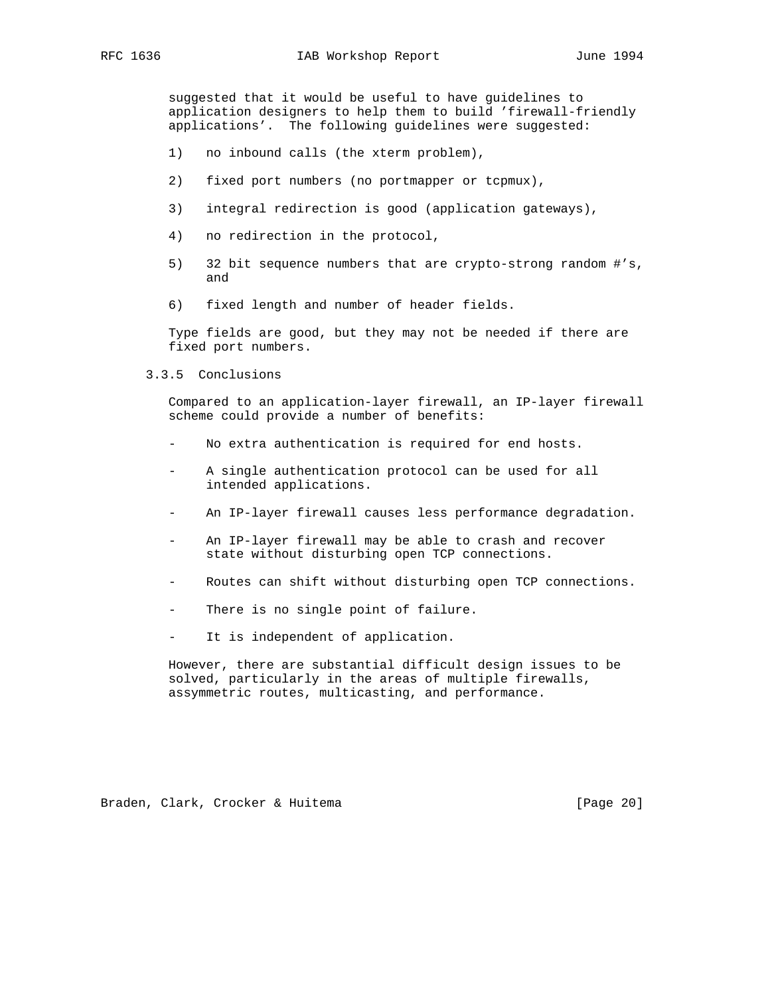suggested that it would be useful to have guidelines to application designers to help them to build 'firewall-friendly applications'. The following guidelines were suggested:

- 1) no inbound calls (the xterm problem),
- 2) fixed port numbers (no portmapper or tcpmux),
- 3) integral redirection is good (application gateways),
- 4) no redirection in the protocol,
- 5) 32 bit sequence numbers that are crypto-strong random #'s, and
- 6) fixed length and number of header fields.

 Type fields are good, but they may not be needed if there are fixed port numbers.

3.3.5 Conclusions

 Compared to an application-layer firewall, an IP-layer firewall scheme could provide a number of benefits:

- No extra authentication is required for end hosts.
- A single authentication protocol can be used for all intended applications.
- An IP-layer firewall causes less performance degradation.
- An IP-layer firewall may be able to crash and recover state without disturbing open TCP connections.
- Routes can shift without disturbing open TCP connections.
- There is no single point of failure.
- It is independent of application.

 However, there are substantial difficult design issues to be solved, particularly in the areas of multiple firewalls, assymmetric routes, multicasting, and performance.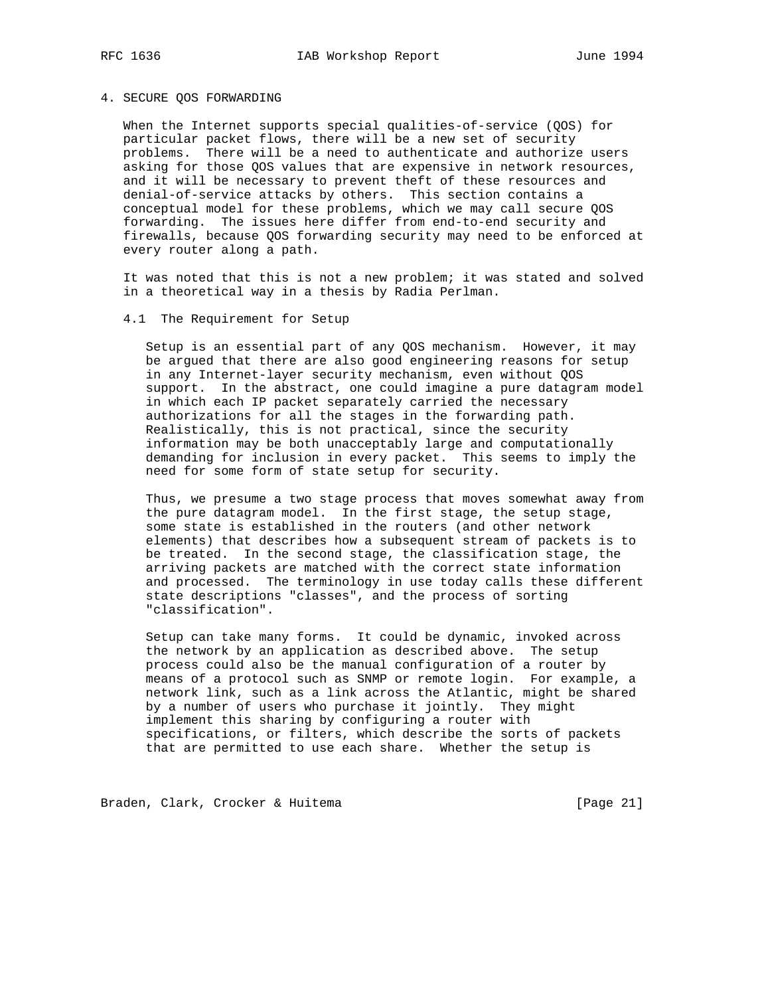# 4. SECURE QOS FORWARDING

When the Internet supports special qualities-of-service (QOS) for particular packet flows, there will be a new set of security problems. There will be a need to authenticate and authorize users asking for those QOS values that are expensive in network resources, and it will be necessary to prevent theft of these resources and denial-of-service attacks by others. This section contains a conceptual model for these problems, which we may call secure QOS forwarding. The issues here differ from end-to-end security and firewalls, because QOS forwarding security may need to be enforced at every router along a path.

 It was noted that this is not a new problem; it was stated and solved in a theoretical way in a thesis by Radia Perlman.

#### 4.1 The Requirement for Setup

 Setup is an essential part of any QOS mechanism. However, it may be argued that there are also good engineering reasons for setup in any Internet-layer security mechanism, even without QOS support. In the abstract, one could imagine a pure datagram model in which each IP packet separately carried the necessary authorizations for all the stages in the forwarding path. Realistically, this is not practical, since the security information may be both unacceptably large and computationally demanding for inclusion in every packet. This seems to imply the need for some form of state setup for security.

 Thus, we presume a two stage process that moves somewhat away from the pure datagram model. In the first stage, the setup stage, some state is established in the routers (and other network elements) that describes how a subsequent stream of packets is to be treated. In the second stage, the classification stage, the arriving packets are matched with the correct state information and processed. The terminology in use today calls these different state descriptions "classes", and the process of sorting "classification".

 Setup can take many forms. It could be dynamic, invoked across the network by an application as described above. The setup process could also be the manual configuration of a router by means of a protocol such as SNMP or remote login. For example, a network link, such as a link across the Atlantic, might be shared by a number of users who purchase it jointly. They might implement this sharing by configuring a router with specifications, or filters, which describe the sorts of packets that are permitted to use each share. Whether the setup is

Braden, Clark, Crocker & Huitema [Page 21]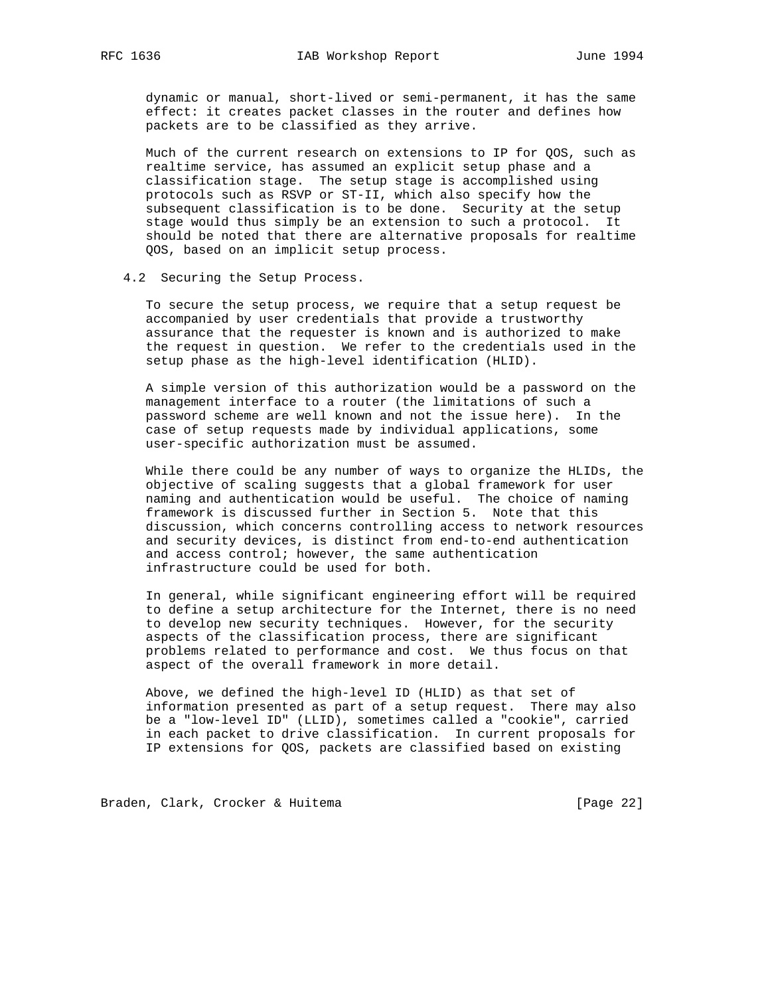dynamic or manual, short-lived or semi-permanent, it has the same effect: it creates packet classes in the router and defines how packets are to be classified as they arrive.

 Much of the current research on extensions to IP for QOS, such as realtime service, has assumed an explicit setup phase and a classification stage. The setup stage is accomplished using protocols such as RSVP or ST-II, which also specify how the subsequent classification is to be done. Security at the setup stage would thus simply be an extension to such a protocol. It should be noted that there are alternative proposals for realtime QOS, based on an implicit setup process.

#### 4.2 Securing the Setup Process.

 To secure the setup process, we require that a setup request be accompanied by user credentials that provide a trustworthy assurance that the requester is known and is authorized to make the request in question. We refer to the credentials used in the setup phase as the high-level identification (HLID).

 A simple version of this authorization would be a password on the management interface to a router (the limitations of such a password scheme are well known and not the issue here). In the case of setup requests made by individual applications, some user-specific authorization must be assumed.

 While there could be any number of ways to organize the HLIDs, the objective of scaling suggests that a global framework for user naming and authentication would be useful. The choice of naming framework is discussed further in Section 5. Note that this discussion, which concerns controlling access to network resources and security devices, is distinct from end-to-end authentication and access control; however, the same authentication infrastructure could be used for both.

 In general, while significant engineering effort will be required to define a setup architecture for the Internet, there is no need to develop new security techniques. However, for the security aspects of the classification process, there are significant problems related to performance and cost. We thus focus on that aspect of the overall framework in more detail.

 Above, we defined the high-level ID (HLID) as that set of information presented as part of a setup request. There may also be a "low-level ID" (LLID), sometimes called a "cookie", carried in each packet to drive classification. In current proposals for IP extensions for QOS, packets are classified based on existing

Braden, Clark, Crocker & Huitema [Page 22]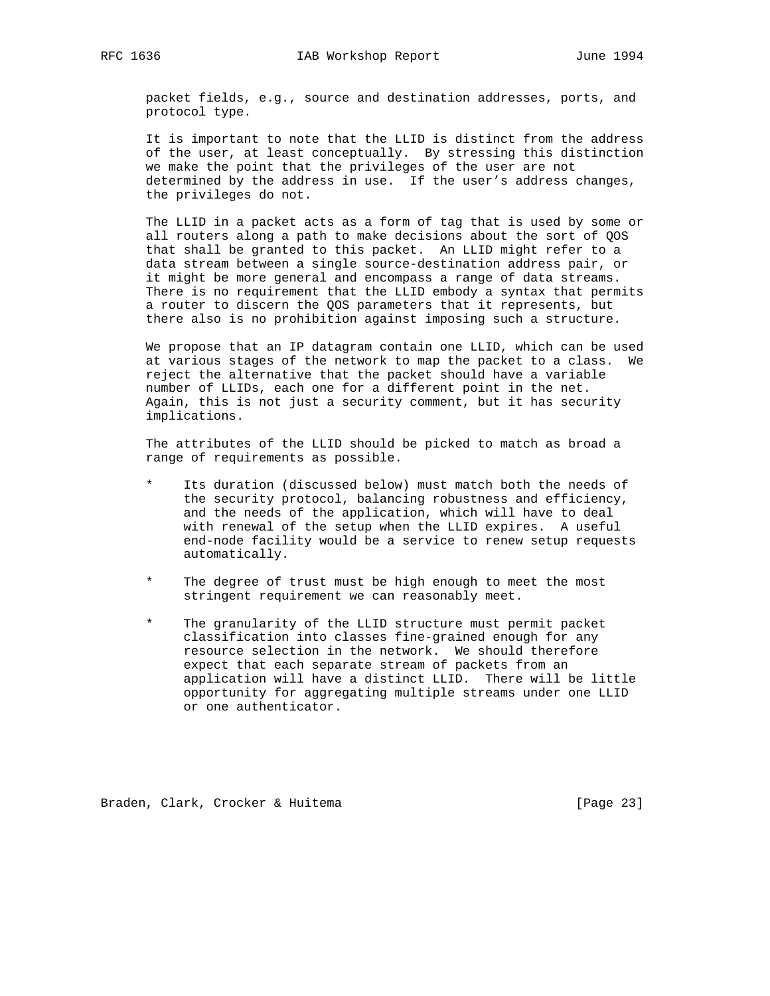packet fields, e.g., source and destination addresses, ports, and protocol type.

 It is important to note that the LLID is distinct from the address of the user, at least conceptually. By stressing this distinction we make the point that the privileges of the user are not determined by the address in use. If the user's address changes, the privileges do not.

 The LLID in a packet acts as a form of tag that is used by some or all routers along a path to make decisions about the sort of QOS that shall be granted to this packet. An LLID might refer to a data stream between a single source-destination address pair, or it might be more general and encompass a range of data streams. There is no requirement that the LLID embody a syntax that permits a router to discern the QOS parameters that it represents, but there also is no prohibition against imposing such a structure.

 We propose that an IP datagram contain one LLID, which can be used at various stages of the network to map the packet to a class. We reject the alternative that the packet should have a variable number of LLIDs, each one for a different point in the net. Again, this is not just a security comment, but it has security implications.

 The attributes of the LLID should be picked to match as broad a range of requirements as possible.

- Its duration (discussed below) must match both the needs of the security protocol, balancing robustness and efficiency, and the needs of the application, which will have to deal with renewal of the setup when the LLID expires. A useful end-node facility would be a service to renew setup requests automatically.
- The degree of trust must be high enough to meet the most stringent requirement we can reasonably meet.
- The granularity of the LLID structure must permit packet classification into classes fine-grained enough for any resource selection in the network. We should therefore expect that each separate stream of packets from an application will have a distinct LLID. There will be little opportunity for aggregating multiple streams under one LLID or one authenticator.

Braden, Clark, Crocker & Huitema [Page 23]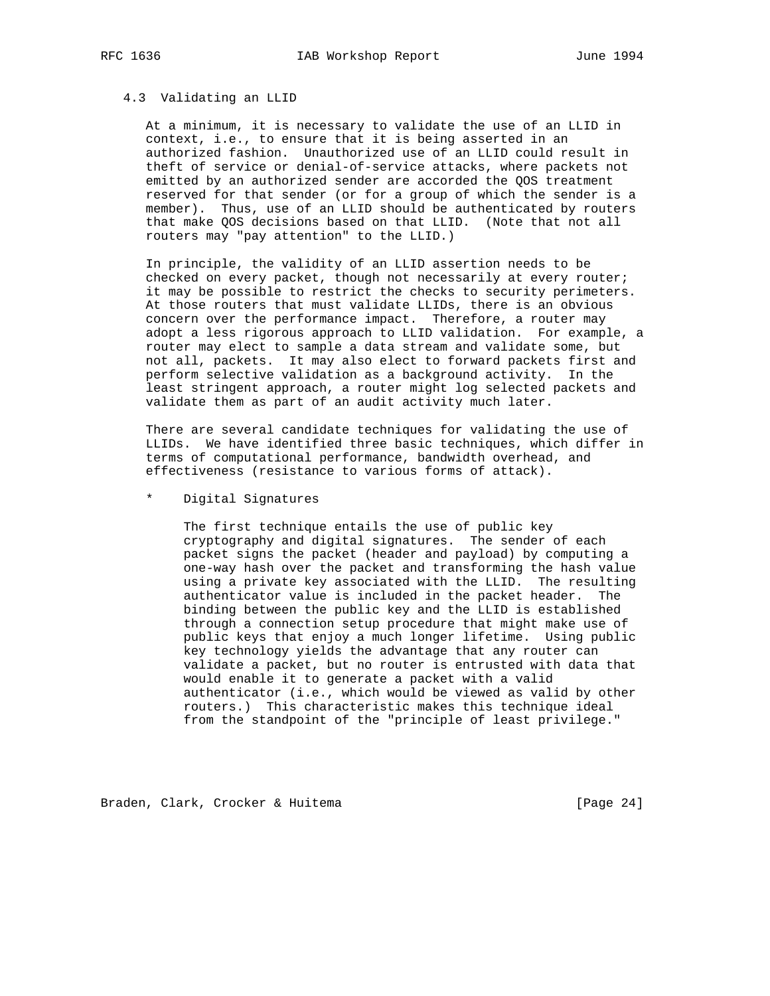#### 4.3 Validating an LLID

 At a minimum, it is necessary to validate the use of an LLID in context, i.e., to ensure that it is being asserted in an authorized fashion. Unauthorized use of an LLID could result in theft of service or denial-of-service attacks, where packets not emitted by an authorized sender are accorded the QOS treatment reserved for that sender (or for a group of which the sender is a member). Thus, use of an LLID should be authenticated by routers that make QOS decisions based on that LLID. (Note that not all routers may "pay attention" to the LLID.)

 In principle, the validity of an LLID assertion needs to be checked on every packet, though not necessarily at every router; it may be possible to restrict the checks to security perimeters. At those routers that must validate LLIDs, there is an obvious concern over the performance impact. Therefore, a router may adopt a less rigorous approach to LLID validation. For example, a router may elect to sample a data stream and validate some, but not all, packets. It may also elect to forward packets first and perform selective validation as a background activity. In the least stringent approach, a router might log selected packets and validate them as part of an audit activity much later.

 There are several candidate techniques for validating the use of LLIDs. We have identified three basic techniques, which differ in terms of computational performance, bandwidth overhead, and effectiveness (resistance to various forms of attack).

Digital Signatures

 The first technique entails the use of public key cryptography and digital signatures. The sender of each packet signs the packet (header and payload) by computing a one-way hash over the packet and transforming the hash value using a private key associated with the LLID. The resulting authenticator value is included in the packet header. The binding between the public key and the LLID is established through a connection setup procedure that might make use of public keys that enjoy a much longer lifetime. Using public key technology yields the advantage that any router can validate a packet, but no router is entrusted with data that would enable it to generate a packet with a valid authenticator (i.e., which would be viewed as valid by other routers.) This characteristic makes this technique ideal from the standpoint of the "principle of least privilege."

Braden, Clark, Crocker & Huitema [Page 24]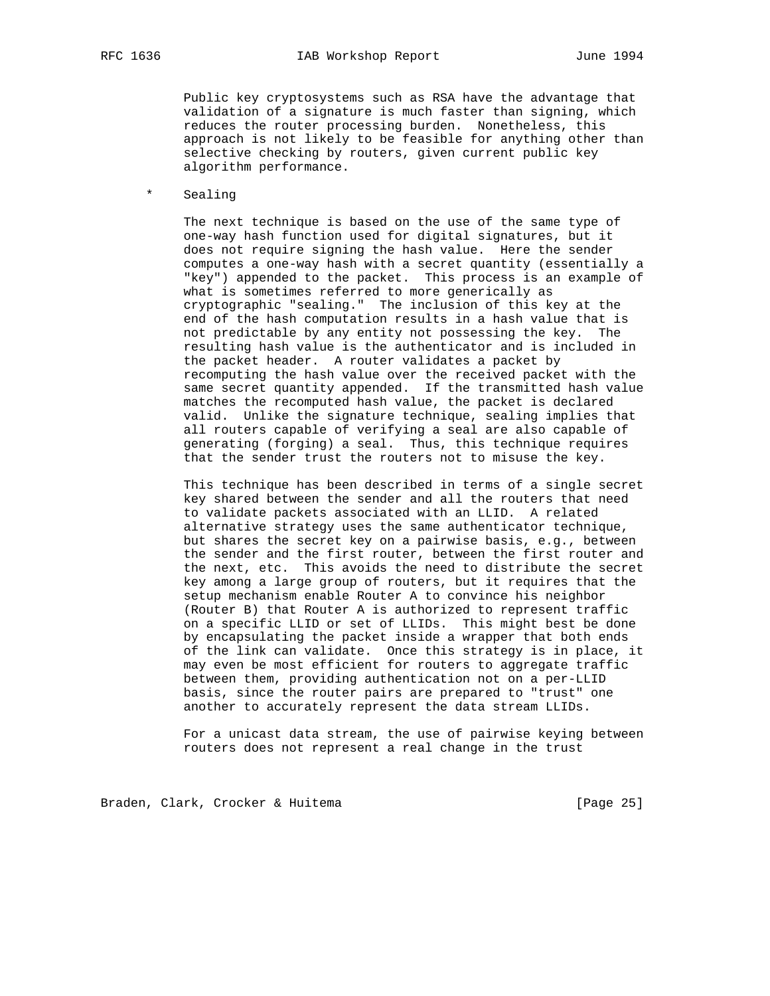Public key cryptosystems such as RSA have the advantage that validation of a signature is much faster than signing, which reduces the router processing burden. Nonetheless, this approach is not likely to be feasible for anything other than selective checking by routers, given current public key algorithm performance.

\* Sealing

 The next technique is based on the use of the same type of one-way hash function used for digital signatures, but it does not require signing the hash value. Here the sender computes a one-way hash with a secret quantity (essentially a "key") appended to the packet. This process is an example of what is sometimes referred to more generically as cryptographic "sealing." The inclusion of this key at the end of the hash computation results in a hash value that is not predictable by any entity not possessing the key. The resulting hash value is the authenticator and is included in the packet header. A router validates a packet by recomputing the hash value over the received packet with the same secret quantity appended. If the transmitted hash value matches the recomputed hash value, the packet is declared valid. Unlike the signature technique, sealing implies that all routers capable of verifying a seal are also capable of generating (forging) a seal. Thus, this technique requires that the sender trust the routers not to misuse the key.

 This technique has been described in terms of a single secret key shared between the sender and all the routers that need to validate packets associated with an LLID. A related alternative strategy uses the same authenticator technique, but shares the secret key on a pairwise basis, e.g., between the sender and the first router, between the first router and the next, etc. This avoids the need to distribute the secret key among a large group of routers, but it requires that the setup mechanism enable Router A to convince his neighbor (Router B) that Router A is authorized to represent traffic on a specific LLID or set of LLIDs. This might best be done by encapsulating the packet inside a wrapper that both ends of the link can validate. Once this strategy is in place, it may even be most efficient for routers to aggregate traffic between them, providing authentication not on a per-LLID basis, since the router pairs are prepared to "trust" one another to accurately represent the data stream LLIDs.

 For a unicast data stream, the use of pairwise keying between routers does not represent a real change in the trust

Braden, Clark, Crocker & Huitema [Page 25]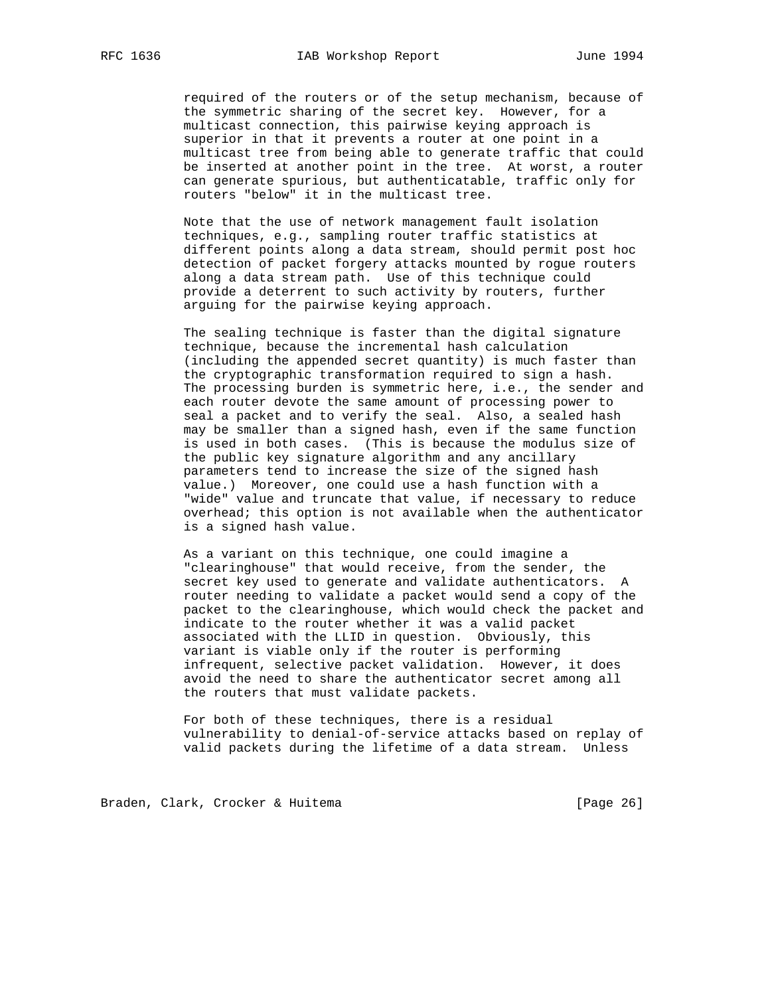required of the routers or of the setup mechanism, because of the symmetric sharing of the secret key. However, for a multicast connection, this pairwise keying approach is superior in that it prevents a router at one point in a multicast tree from being able to generate traffic that could be inserted at another point in the tree. At worst, a router can generate spurious, but authenticatable, traffic only for routers "below" it in the multicast tree.

 Note that the use of network management fault isolation techniques, e.g., sampling router traffic statistics at different points along a data stream, should permit post hoc detection of packet forgery attacks mounted by rogue routers along a data stream path. Use of this technique could provide a deterrent to such activity by routers, further arguing for the pairwise keying approach.

 The sealing technique is faster than the digital signature technique, because the incremental hash calculation (including the appended secret quantity) is much faster than the cryptographic transformation required to sign a hash. The processing burden is symmetric here, i.e., the sender and each router devote the same amount of processing power to seal a packet and to verify the seal. Also, a sealed hash may be smaller than a signed hash, even if the same function is used in both cases. (This is because the modulus size of the public key signature algorithm and any ancillary parameters tend to increase the size of the signed hash value.) Moreover, one could use a hash function with a "wide" value and truncate that value, if necessary to reduce overhead; this option is not available when the authenticator is a signed hash value.

 As a variant on this technique, one could imagine a "clearinghouse" that would receive, from the sender, the secret key used to generate and validate authenticators. A router needing to validate a packet would send a copy of the packet to the clearinghouse, which would check the packet and indicate to the router whether it was a valid packet associated with the LLID in question. Obviously, this variant is viable only if the router is performing infrequent, selective packet validation. However, it does avoid the need to share the authenticator secret among all the routers that must validate packets.

 For both of these techniques, there is a residual vulnerability to denial-of-service attacks based on replay of valid packets during the lifetime of a data stream. Unless

Braden, Clark, Crocker & Huitema [Page 26]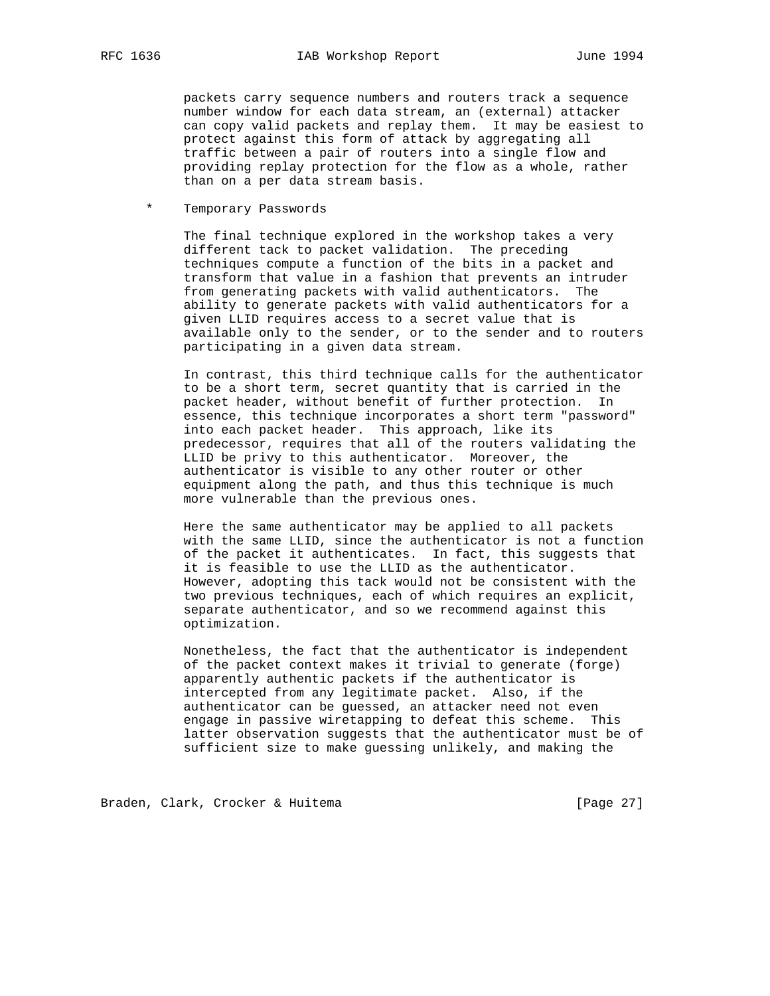packets carry sequence numbers and routers track a sequence number window for each data stream, an (external) attacker can copy valid packets and replay them. It may be easiest to protect against this form of attack by aggregating all traffic between a pair of routers into a single flow and providing replay protection for the flow as a whole, rather than on a per data stream basis.

\* Temporary Passwords

 The final technique explored in the workshop takes a very different tack to packet validation. The preceding techniques compute a function of the bits in a packet and transform that value in a fashion that prevents an intruder from generating packets with valid authenticators. The ability to generate packets with valid authenticators for a given LLID requires access to a secret value that is available only to the sender, or to the sender and to routers participating in a given data stream.

 In contrast, this third technique calls for the authenticator to be a short term, secret quantity that is carried in the packet header, without benefit of further protection. In essence, this technique incorporates a short term "password" into each packet header. This approach, like its predecessor, requires that all of the routers validating the LLID be privy to this authenticator. Moreover, the authenticator is visible to any other router or other equipment along the path, and thus this technique is much more vulnerable than the previous ones.

 Here the same authenticator may be applied to all packets with the same LLID, since the authenticator is not a function of the packet it authenticates. In fact, this suggests that it is feasible to use the LLID as the authenticator. However, adopting this tack would not be consistent with the two previous techniques, each of which requires an explicit, separate authenticator, and so we recommend against this optimization.

 Nonetheless, the fact that the authenticator is independent of the packet context makes it trivial to generate (forge) apparently authentic packets if the authenticator is intercepted from any legitimate packet. Also, if the authenticator can be guessed, an attacker need not even engage in passive wiretapping to defeat this scheme. This latter observation suggests that the authenticator must be of sufficient size to make guessing unlikely, and making the

Braden, Clark, Crocker & Huitema [Page 27]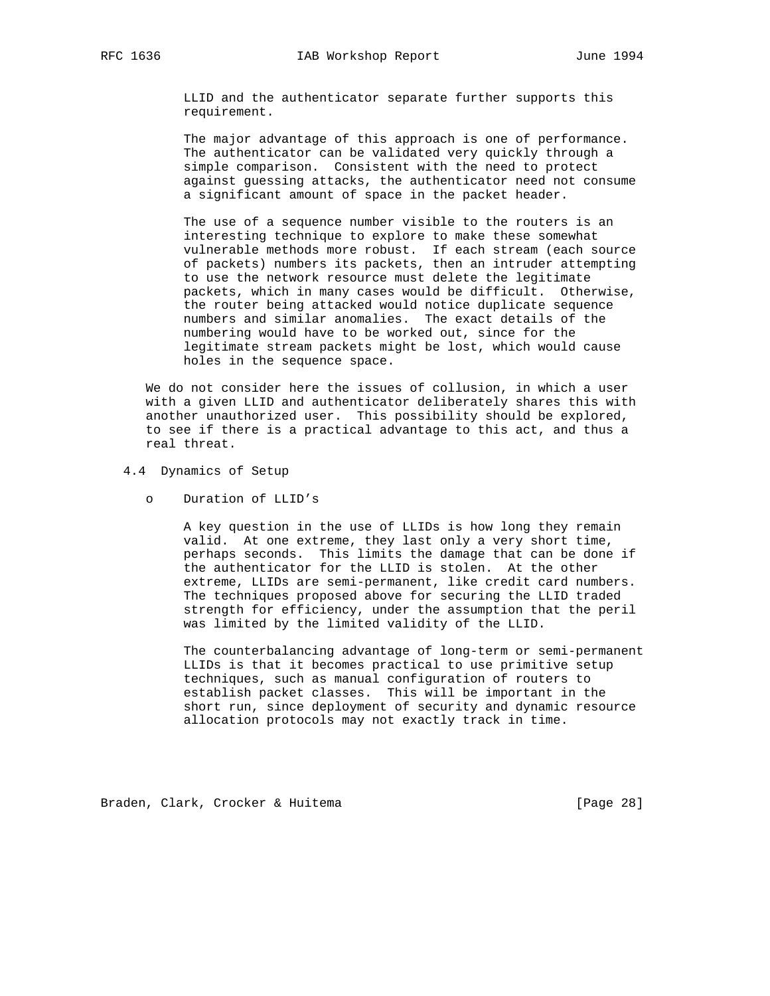LLID and the authenticator separate further supports this requirement.

 The major advantage of this approach is one of performance. The authenticator can be validated very quickly through a simple comparison. Consistent with the need to protect against guessing attacks, the authenticator need not consume a significant amount of space in the packet header.

 The use of a sequence number visible to the routers is an interesting technique to explore to make these somewhat vulnerable methods more robust. If each stream (each source of packets) numbers its packets, then an intruder attempting to use the network resource must delete the legitimate packets, which in many cases would be difficult. Otherwise, the router being attacked would notice duplicate sequence numbers and similar anomalies. The exact details of the numbering would have to be worked out, since for the legitimate stream packets might be lost, which would cause holes in the sequence space.

 We do not consider here the issues of collusion, in which a user with a given LLID and authenticator deliberately shares this with another unauthorized user. This possibility should be explored, to see if there is a practical advantage to this act, and thus a real threat.

- 4.4 Dynamics of Setup
	- o Duration of LLID's

 A key question in the use of LLIDs is how long they remain valid. At one extreme, they last only a very short time, perhaps seconds. This limits the damage that can be done if the authenticator for the LLID is stolen. At the other extreme, LLIDs are semi-permanent, like credit card numbers. The techniques proposed above for securing the LLID traded strength for efficiency, under the assumption that the peril was limited by the limited validity of the LLID.

 The counterbalancing advantage of long-term or semi-permanent LLIDs is that it becomes practical to use primitive setup techniques, such as manual configuration of routers to establish packet classes. This will be important in the short run, since deployment of security and dynamic resource allocation protocols may not exactly track in time.

Braden, Clark, Crocker & Huitema [Page 28]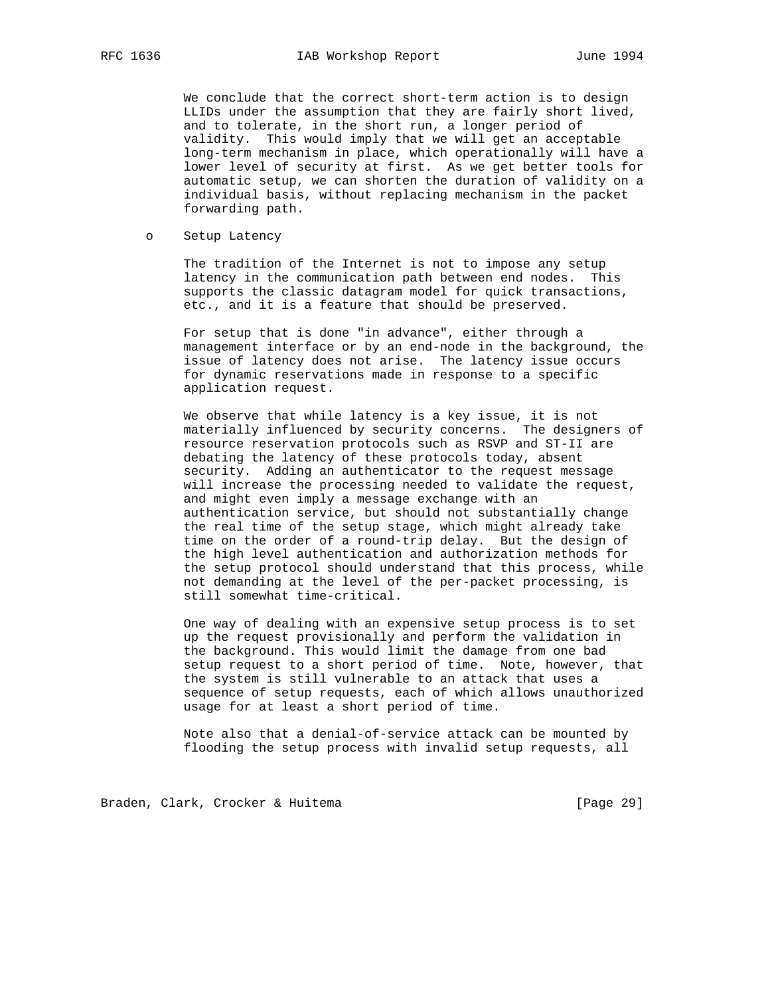We conclude that the correct short-term action is to design LLIDs under the assumption that they are fairly short lived, and to tolerate, in the short run, a longer period of validity. This would imply that we will get an acceptable long-term mechanism in place, which operationally will have a lower level of security at first. As we get better tools for automatic setup, we can shorten the duration of validity on a individual basis, without replacing mechanism in the packet forwarding path.

o Setup Latency

 The tradition of the Internet is not to impose any setup latency in the communication path between end nodes. This supports the classic datagram model for quick transactions, etc., and it is a feature that should be preserved.

 For setup that is done "in advance", either through a management interface or by an end-node in the background, the issue of latency does not arise. The latency issue occurs for dynamic reservations made in response to a specific application request.

 We observe that while latency is a key issue, it is not materially influenced by security concerns. The designers of resource reservation protocols such as RSVP and ST-II are debating the latency of these protocols today, absent security. Adding an authenticator to the request message will increase the processing needed to validate the request, and might even imply a message exchange with an authentication service, but should not substantially change the real time of the setup stage, which might already take time on the order of a round-trip delay. But the design of the high level authentication and authorization methods for the setup protocol should understand that this process, while not demanding at the level of the per-packet processing, is still somewhat time-critical.

 One way of dealing with an expensive setup process is to set up the request provisionally and perform the validation in the background. This would limit the damage from one bad setup request to a short period of time. Note, however, that the system is still vulnerable to an attack that uses a sequence of setup requests, each of which allows unauthorized usage for at least a short period of time.

 Note also that a denial-of-service attack can be mounted by flooding the setup process with invalid setup requests, all

Braden, Clark, Crocker & Huitema [Page 29]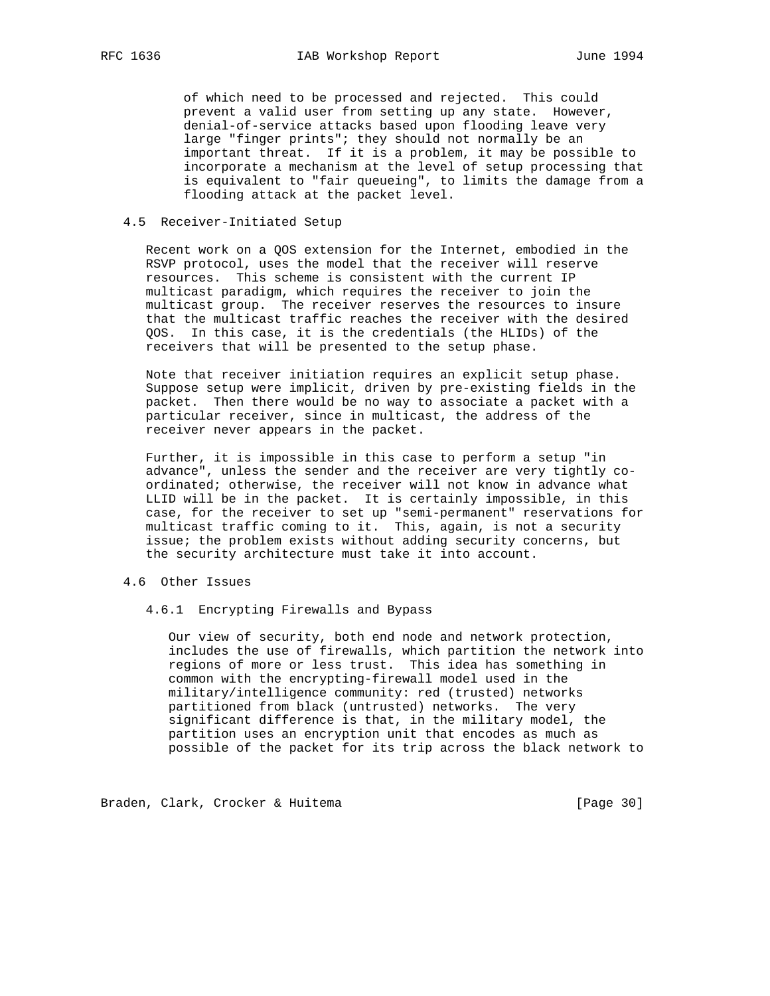of which need to be processed and rejected. This could prevent a valid user from setting up any state. However, denial-of-service attacks based upon flooding leave very large "finger prints"; they should not normally be an important threat. If it is a problem, it may be possible to incorporate a mechanism at the level of setup processing that is equivalent to "fair queueing", to limits the damage from a flooding attack at the packet level.

#### 4.5 Receiver-Initiated Setup

 Recent work on a QOS extension for the Internet, embodied in the RSVP protocol, uses the model that the receiver will reserve resources. This scheme is consistent with the current IP multicast paradigm, which requires the receiver to join the multicast group. The receiver reserves the resources to insure that the multicast traffic reaches the receiver with the desired QOS. In this case, it is the credentials (the HLIDs) of the receivers that will be presented to the setup phase.

 Note that receiver initiation requires an explicit setup phase. Suppose setup were implicit, driven by pre-existing fields in the packet. Then there would be no way to associate a packet with a particular receiver, since in multicast, the address of the receiver never appears in the packet.

 Further, it is impossible in this case to perform a setup "in advance", unless the sender and the receiver are very tightly co ordinated; otherwise, the receiver will not know in advance what LLID will be in the packet. It is certainly impossible, in this case, for the receiver to set up "semi-permanent" reservations for multicast traffic coming to it. This, again, is not a security issue; the problem exists without adding security concerns, but the security architecture must take it into account.

#### 4.6 Other Issues

4.6.1 Encrypting Firewalls and Bypass

 Our view of security, both end node and network protection, includes the use of firewalls, which partition the network into regions of more or less trust. This idea has something in common with the encrypting-firewall model used in the military/intelligence community: red (trusted) networks partitioned from black (untrusted) networks. The very significant difference is that, in the military model, the partition uses an encryption unit that encodes as much as possible of the packet for its trip across the black network to

Braden, Clark, Crocker & Huitema [Page 30]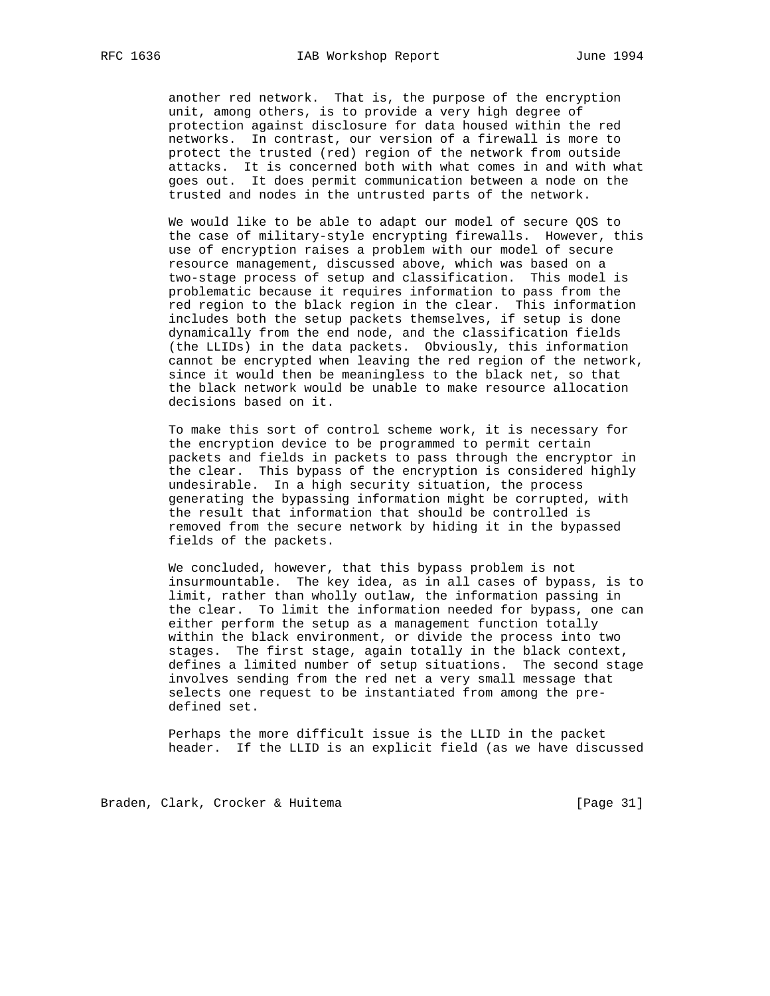another red network. That is, the purpose of the encryption unit, among others, is to provide a very high degree of protection against disclosure for data housed within the red networks. In contrast, our version of a firewall is more to protect the trusted (red) region of the network from outside attacks. It is concerned both with what comes in and with what goes out. It does permit communication between a node on the trusted and nodes in the untrusted parts of the network.

 We would like to be able to adapt our model of secure QOS to the case of military-style encrypting firewalls. However, this use of encryption raises a problem with our model of secure resource management, discussed above, which was based on a two-stage process of setup and classification. This model is problematic because it requires information to pass from the red region to the black region in the clear. This information includes both the setup packets themselves, if setup is done dynamically from the end node, and the classification fields (the LLIDs) in the data packets. Obviously, this information cannot be encrypted when leaving the red region of the network, since it would then be meaningless to the black net, so that the black network would be unable to make resource allocation decisions based on it.

 To make this sort of control scheme work, it is necessary for the encryption device to be programmed to permit certain packets and fields in packets to pass through the encryptor in the clear. This bypass of the encryption is considered highly undesirable. In a high security situation, the process generating the bypassing information might be corrupted, with the result that information that should be controlled is removed from the secure network by hiding it in the bypassed fields of the packets.

 We concluded, however, that this bypass problem is not insurmountable. The key idea, as in all cases of bypass, is to limit, rather than wholly outlaw, the information passing in the clear. To limit the information needed for bypass, one can either perform the setup as a management function totally within the black environment, or divide the process into two stages. The first stage, again totally in the black context, defines a limited number of setup situations. The second stage involves sending from the red net a very small message that selects one request to be instantiated from among the pre defined set.

 Perhaps the more difficult issue is the LLID in the packet header. If the LLID is an explicit field (as we have discussed

Braden, Clark, Crocker & Huitema [Page 31]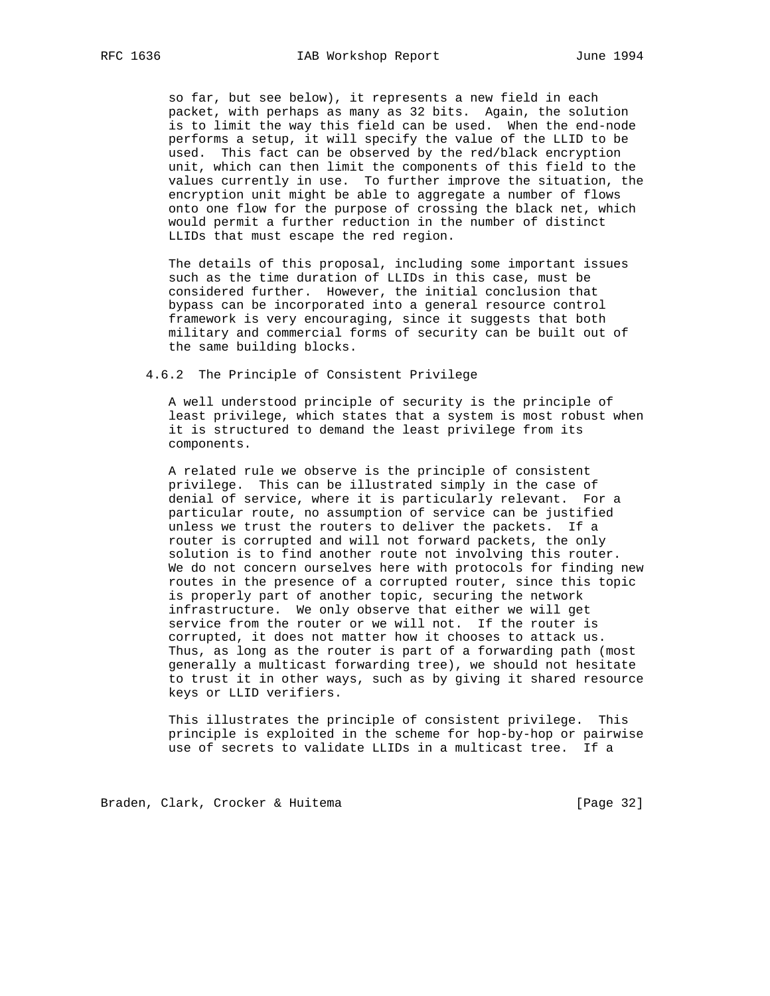so far, but see below), it represents a new field in each packet, with perhaps as many as 32 bits. Again, the solution is to limit the way this field can be used. When the end-node performs a setup, it will specify the value of the LLID to be used. This fact can be observed by the red/black encryption unit, which can then limit the components of this field to the values currently in use. To further improve the situation, the encryption unit might be able to aggregate a number of flows onto one flow for the purpose of crossing the black net, which would permit a further reduction in the number of distinct LLIDs that must escape the red region.

 The details of this proposal, including some important issues such as the time duration of LLIDs in this case, must be considered further. However, the initial conclusion that bypass can be incorporated into a general resource control framework is very encouraging, since it suggests that both military and commercial forms of security can be built out of the same building blocks.

4.6.2 The Principle of Consistent Privilege

 A well understood principle of security is the principle of least privilege, which states that a system is most robust when it is structured to demand the least privilege from its components.

 A related rule we observe is the principle of consistent privilege. This can be illustrated simply in the case of denial of service, where it is particularly relevant. For a particular route, no assumption of service can be justified unless we trust the routers to deliver the packets. If a router is corrupted and will not forward packets, the only solution is to find another route not involving this router. We do not concern ourselves here with protocols for finding new routes in the presence of a corrupted router, since this topic is properly part of another topic, securing the network infrastructure. We only observe that either we will get service from the router or we will not. If the router is corrupted, it does not matter how it chooses to attack us. Thus, as long as the router is part of a forwarding path (most generally a multicast forwarding tree), we should not hesitate to trust it in other ways, such as by giving it shared resource keys or LLID verifiers.

 This illustrates the principle of consistent privilege. This principle is exploited in the scheme for hop-by-hop or pairwise use of secrets to validate LLIDs in a multicast tree. If a

Braden, Clark, Crocker & Huitema [Page 32]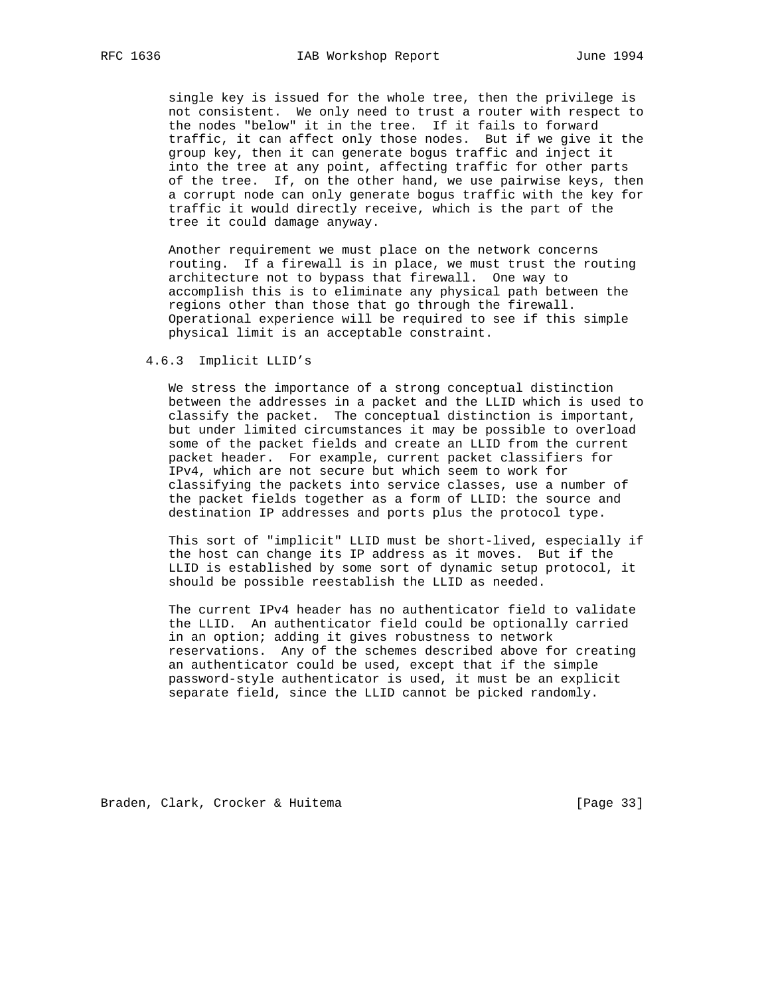single key is issued for the whole tree, then the privilege is not consistent. We only need to trust a router with respect to the nodes "below" it in the tree. If it fails to forward traffic, it can affect only those nodes. But if we give it the group key, then it can generate bogus traffic and inject it into the tree at any point, affecting traffic for other parts of the tree. If, on the other hand, we use pairwise keys, then a corrupt node can only generate bogus traffic with the key for traffic it would directly receive, which is the part of the tree it could damage anyway.

 Another requirement we must place on the network concerns routing. If a firewall is in place, we must trust the routing architecture not to bypass that firewall. One way to accomplish this is to eliminate any physical path between the regions other than those that go through the firewall. Operational experience will be required to see if this simple physical limit is an acceptable constraint.

#### 4.6.3 Implicit LLID's

 We stress the importance of a strong conceptual distinction between the addresses in a packet and the LLID which is used to classify the packet. The conceptual distinction is important, but under limited circumstances it may be possible to overload some of the packet fields and create an LLID from the current packet header. For example, current packet classifiers for IPv4, which are not secure but which seem to work for classifying the packets into service classes, use a number of the packet fields together as a form of LLID: the source and destination IP addresses and ports plus the protocol type.

 This sort of "implicit" LLID must be short-lived, especially if the host can change its IP address as it moves. But if the LLID is established by some sort of dynamic setup protocol, it should be possible reestablish the LLID as needed.

 The current IPv4 header has no authenticator field to validate the LLID. An authenticator field could be optionally carried in an option; adding it gives robustness to network reservations. Any of the schemes described above for creating an authenticator could be used, except that if the simple password-style authenticator is used, it must be an explicit separate field, since the LLID cannot be picked randomly.

Braden, Clark, Crocker & Huitema [Page 33]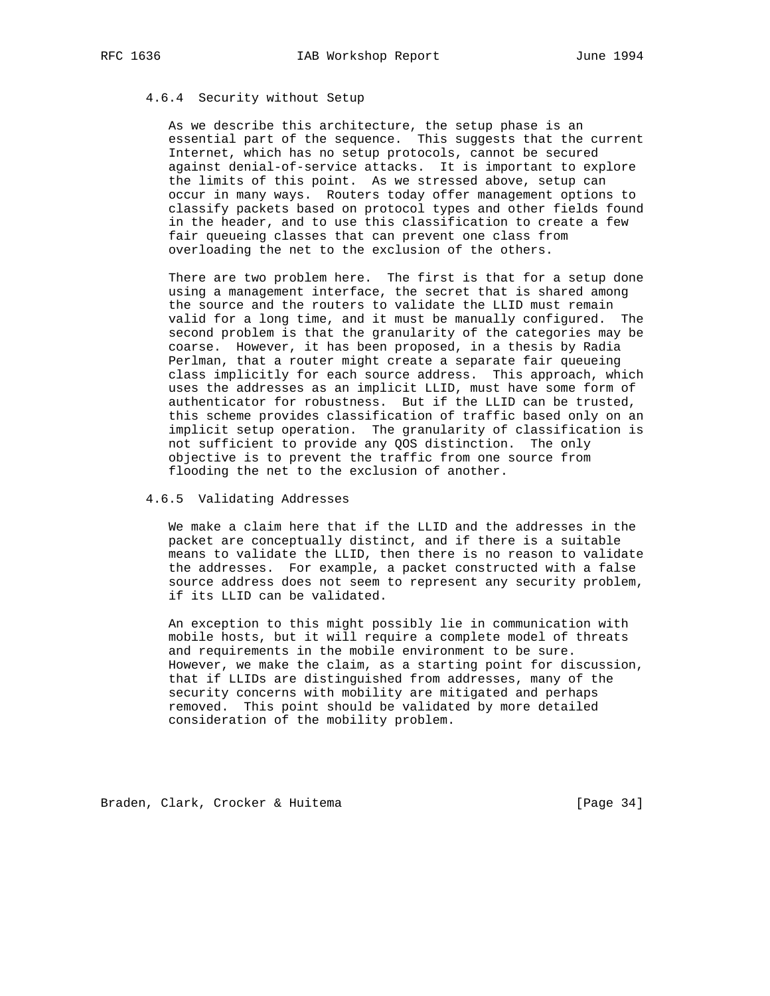## 4.6.4 Security without Setup

 As we describe this architecture, the setup phase is an essential part of the sequence. This suggests that the current Internet, which has no setup protocols, cannot be secured against denial-of-service attacks. It is important to explore the limits of this point. As we stressed above, setup can occur in many ways. Routers today offer management options to classify packets based on protocol types and other fields found in the header, and to use this classification to create a few fair queueing classes that can prevent one class from overloading the net to the exclusion of the others.

 There are two problem here. The first is that for a setup done using a management interface, the secret that is shared among the source and the routers to validate the LLID must remain valid for a long time, and it must be manually configured. The second problem is that the granularity of the categories may be coarse. However, it has been proposed, in a thesis by Radia Perlman, that a router might create a separate fair queueing class implicitly for each source address. This approach, which uses the addresses as an implicit LLID, must have some form of authenticator for robustness. But if the LLID can be trusted, this scheme provides classification of traffic based only on an implicit setup operation. The granularity of classification is not sufficient to provide any QOS distinction. The only objective is to prevent the traffic from one source from flooding the net to the exclusion of another.

## 4.6.5 Validating Addresses

 We make a claim here that if the LLID and the addresses in the packet are conceptually distinct, and if there is a suitable means to validate the LLID, then there is no reason to validate the addresses. For example, a packet constructed with a false source address does not seem to represent any security problem, if its LLID can be validated.

 An exception to this might possibly lie in communication with mobile hosts, but it will require a complete model of threats and requirements in the mobile environment to be sure. However, we make the claim, as a starting point for discussion, that if LLIDs are distinguished from addresses, many of the security concerns with mobility are mitigated and perhaps removed. This point should be validated by more detailed consideration of the mobility problem.

Braden, Clark, Crocker & Huitema [Page 34]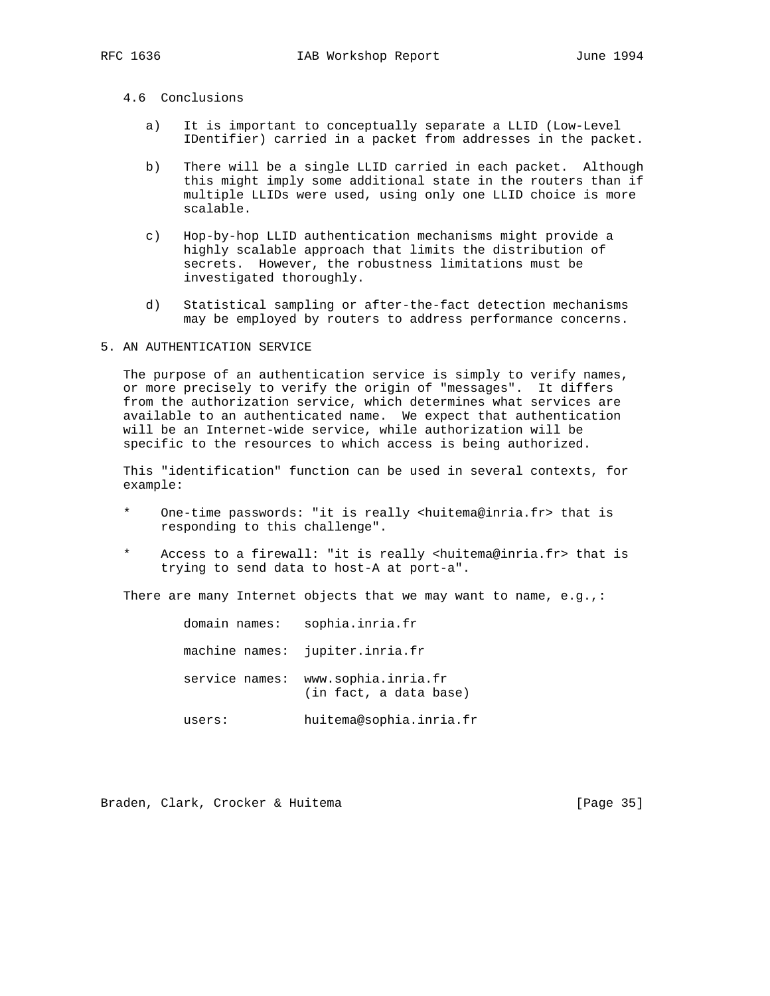# 4.6 Conclusions

- a) It is important to conceptually separate a LLID (Low-Level IDentifier) carried in a packet from addresses in the packet.
- b) There will be a single LLID carried in each packet. Although this might imply some additional state in the routers than if multiple LLIDs were used, using only one LLID choice is more scalable.
- c) Hop-by-hop LLID authentication mechanisms might provide a highly scalable approach that limits the distribution of secrets. However, the robustness limitations must be investigated thoroughly.
- d) Statistical sampling or after-the-fact detection mechanisms may be employed by routers to address performance concerns.

## 5. AN AUTHENTICATION SERVICE

 The purpose of an authentication service is simply to verify names, or more precisely to verify the origin of "messages". It differs from the authorization service, which determines what services are available to an authenticated name. We expect that authentication will be an Internet-wide service, while authorization will be specific to the resources to which access is being authorized.

 This "identification" function can be used in several contexts, for example:

- One-time passwords: "it is really <huitema@inria.fr> that is responding to this challenge".
- \* Access to a firewall: "it is really <huitema@inria.fr> that is trying to send data to host-A at port-a".

There are many Internet objects that we may want to name,  $e.g.,$ :

| domain names: | sophia.inria.fr                                              |
|---------------|--------------------------------------------------------------|
|               | machine names: jupiter.inria.fr                              |
|               | service names: www.sophia.inria.fr<br>(in fact, a data base) |
| users:        | huitema@sophia.inria.fr                                      |

Braden, Clark, Crocker & Huitema [Page 35]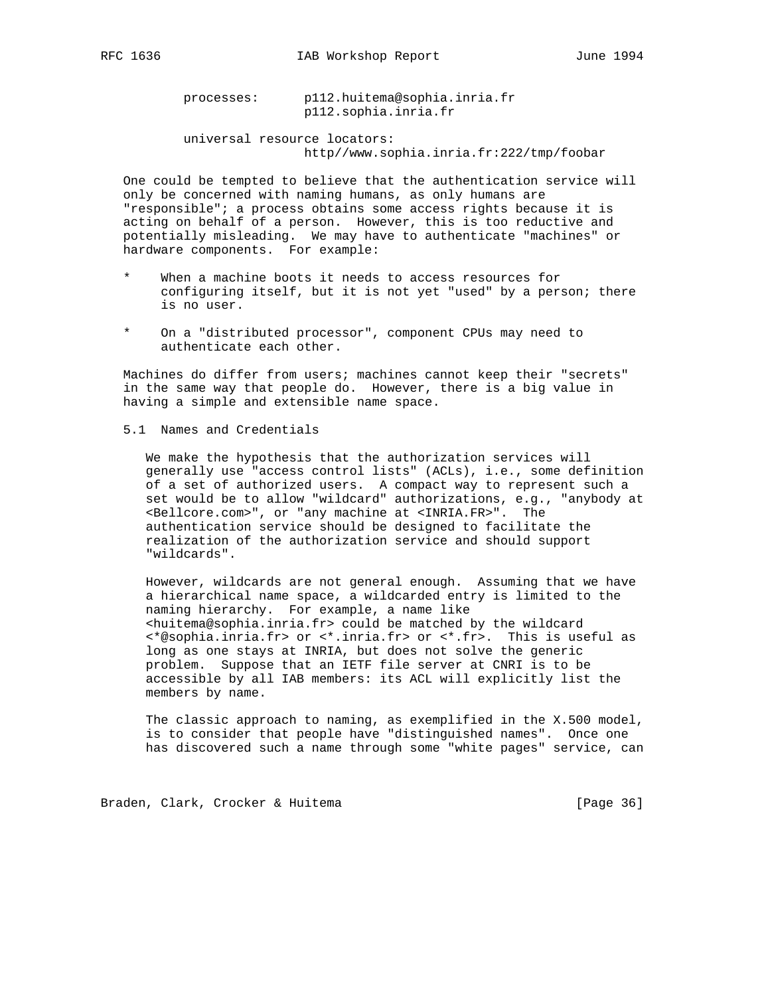processes: p112.huitema@sophia.inria.fr p112.sophia.inria.fr

 universal resource locators: http//www.sophia.inria.fr:222/tmp/foobar

 One could be tempted to believe that the authentication service will only be concerned with naming humans, as only humans are "responsible"; a process obtains some access rights because it is acting on behalf of a person. However, this is too reductive and potentially misleading. We may have to authenticate "machines" or hardware components. For example:

- When a machine boots it needs to access resources for configuring itself, but it is not yet "used" by a person; there is no user.
- On a "distributed processor", component CPUs may need to authenticate each other.

 Machines do differ from users; machines cannot keep their "secrets" in the same way that people do. However, there is a big value in having a simple and extensible name space.

5.1 Names and Credentials

 We make the hypothesis that the authorization services will generally use "access control lists" (ACLs), i.e., some definition of a set of authorized users. A compact way to represent such a set would be to allow "wildcard" authorizations, e.g., "anybody at <Bellcore.com>", or "any machine at <INRIA.FR>". The authentication service should be designed to facilitate the realization of the authorization service and should support "wildcards".

 However, wildcards are not general enough. Assuming that we have a hierarchical name space, a wildcarded entry is limited to the naming hierarchy. For example, a name like <huitema@sophia.inria.fr> could be matched by the wildcard <\*@sophia.inria.fr> or <\*.inria.fr> or <\*.fr>. This is useful as long as one stays at INRIA, but does not solve the generic problem. Suppose that an IETF file server at CNRI is to be accessible by all IAB members: its ACL will explicitly list the members by name.

 The classic approach to naming, as exemplified in the X.500 model, is to consider that people have "distinguished names". Once one has discovered such a name through some "white pages" service, can

Braden, Clark, Crocker & Huitema [Page 36]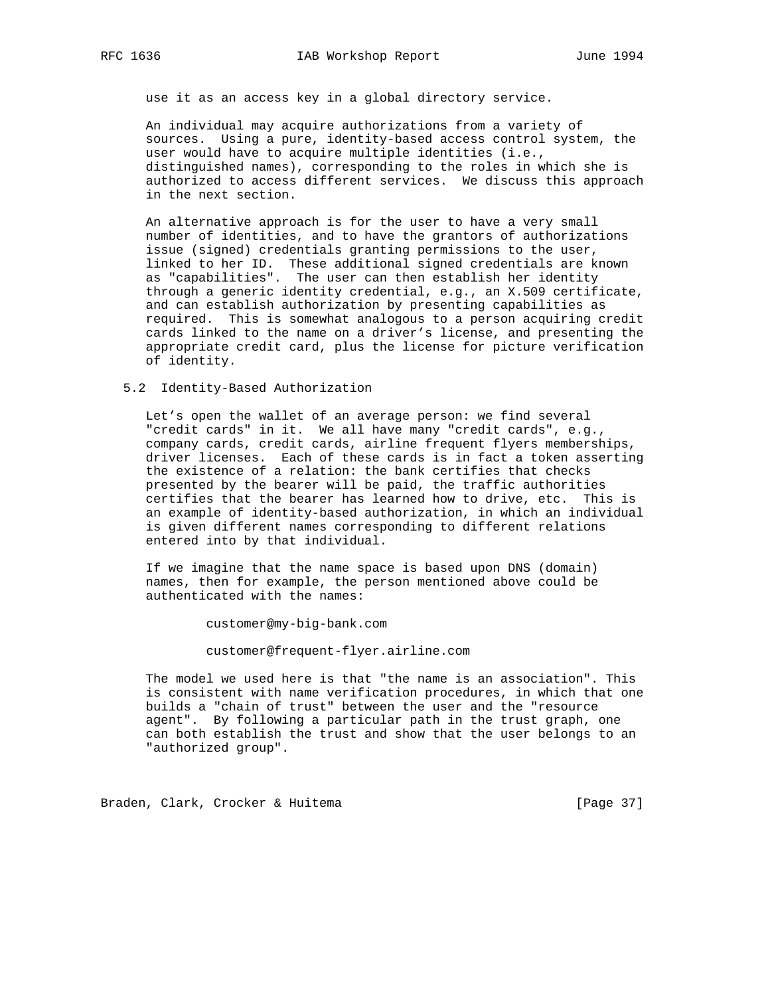use it as an access key in a global directory service.

 An individual may acquire authorizations from a variety of sources. Using a pure, identity-based access control system, the user would have to acquire multiple identities (i.e., distinguished names), corresponding to the roles in which she is authorized to access different services. We discuss this approach in the next section.

 An alternative approach is for the user to have a very small number of identities, and to have the grantors of authorizations issue (signed) credentials granting permissions to the user, linked to her ID. These additional signed credentials are known as "capabilities". The user can then establish her identity through a generic identity credential, e.g., an X.509 certificate, and can establish authorization by presenting capabilities as required. This is somewhat analogous to a person acquiring credit cards linked to the name on a driver's license, and presenting the appropriate credit card, plus the license for picture verification of identity.

#### 5.2 Identity-Based Authorization

 Let's open the wallet of an average person: we find several "credit cards" in it. We all have many "credit cards", e.g., company cards, credit cards, airline frequent flyers memberships, driver licenses. Each of these cards is in fact a token asserting the existence of a relation: the bank certifies that checks presented by the bearer will be paid, the traffic authorities certifies that the bearer has learned how to drive, etc. This is an example of identity-based authorization, in which an individual is given different names corresponding to different relations entered into by that individual.

 If we imagine that the name space is based upon DNS (domain) names, then for example, the person mentioned above could be authenticated with the names:

customer@my-big-bank.com

customer@frequent-flyer.airline.com

 The model we used here is that "the name is an association". This is consistent with name verification procedures, in which that one builds a "chain of trust" between the user and the "resource agent". By following a particular path in the trust graph, one can both establish the trust and show that the user belongs to an "authorized group".

Braden, Clark, Crocker & Huitema [Page 37]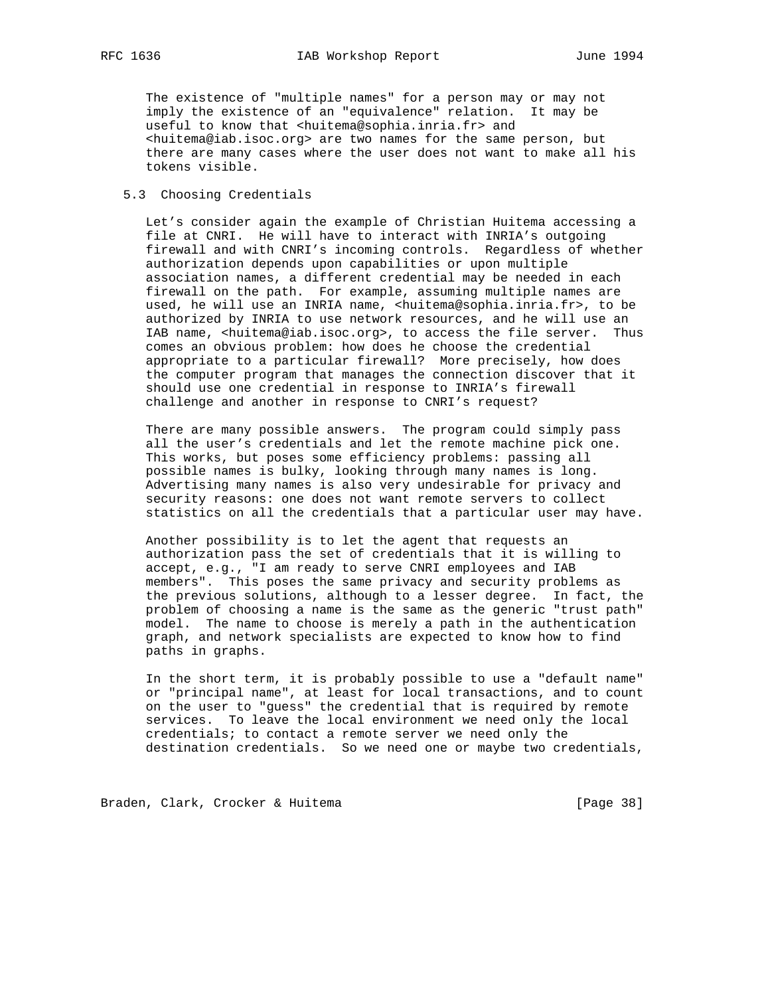The existence of "multiple names" for a person may or may not imply the existence of an "equivalence" relation. It may be useful to know that <huitema@sophia.inria.fr> and <huitema@iab.isoc.org> are two names for the same person, but there are many cases where the user does not want to make all his tokens visible.

## 5.3 Choosing Credentials

 Let's consider again the example of Christian Huitema accessing a file at CNRI. He will have to interact with INRIA's outgoing firewall and with CNRI's incoming controls. Regardless of whether authorization depends upon capabilities or upon multiple association names, a different credential may be needed in each firewall on the path. For example, assuming multiple names are used, he will use an INRIA name, <huitema@sophia.inria.fr>, to be authorized by INRIA to use network resources, and he will use an IAB name, <huitema@iab.isoc.org>, to access the file server. Thus comes an obvious problem: how does he choose the credential appropriate to a particular firewall? More precisely, how does the computer program that manages the connection discover that it should use one credential in response to INRIA's firewall challenge and another in response to CNRI's request?

 There are many possible answers. The program could simply pass all the user's credentials and let the remote machine pick one. This works, but poses some efficiency problems: passing all possible names is bulky, looking through many names is long. Advertising many names is also very undesirable for privacy and security reasons: one does not want remote servers to collect statistics on all the credentials that a particular user may have.

 Another possibility is to let the agent that requests an authorization pass the set of credentials that it is willing to accept, e.g., "I am ready to serve CNRI employees and IAB members". This poses the same privacy and security problems as the previous solutions, although to a lesser degree. In fact, the problem of choosing a name is the same as the generic "trust path" model. The name to choose is merely a path in the authentication graph, and network specialists are expected to know how to find paths in graphs.

 In the short term, it is probably possible to use a "default name" or "principal name", at least for local transactions, and to count on the user to "guess" the credential that is required by remote services. To leave the local environment we need only the local credentials; to contact a remote server we need only the destination credentials. So we need one or maybe two credentials,

Braden, Clark, Crocker & Huitema [Page 38]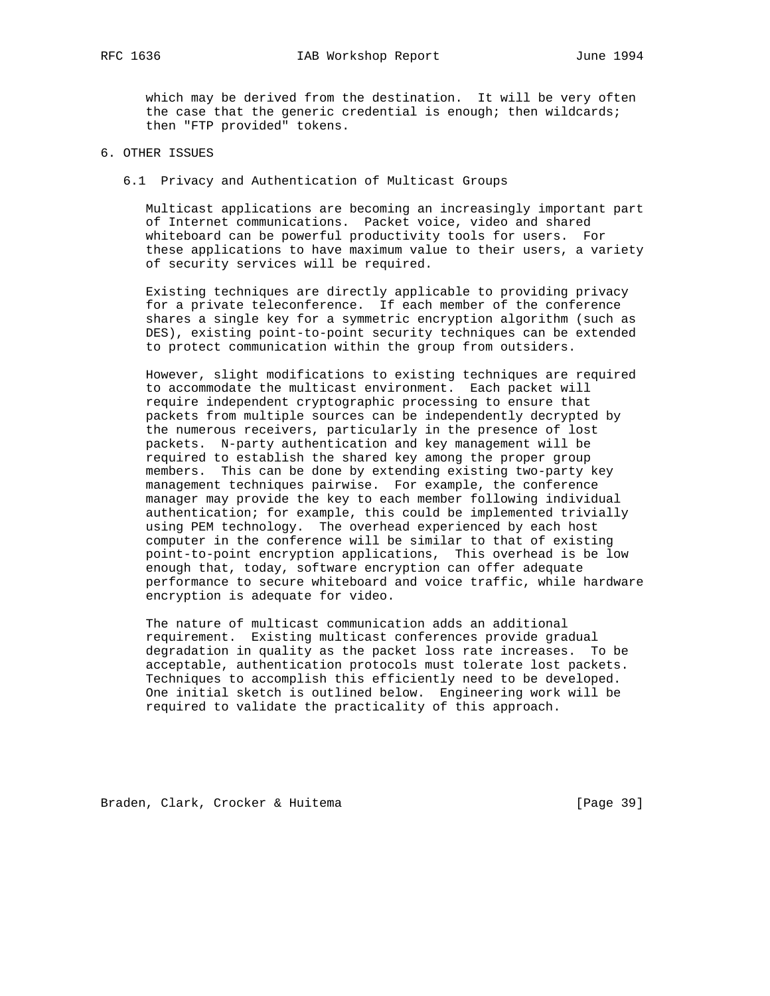which may be derived from the destination. It will be very often the case that the generic credential is enough; then wildcards; then "FTP provided" tokens.

# 6. OTHER ISSUES

6.1 Privacy and Authentication of Multicast Groups

 Multicast applications are becoming an increasingly important part of Internet communications. Packet voice, video and shared whiteboard can be powerful productivity tools for users. For these applications to have maximum value to their users, a variety of security services will be required.

 Existing techniques are directly applicable to providing privacy for a private teleconference. If each member of the conference shares a single key for a symmetric encryption algorithm (such as DES), existing point-to-point security techniques can be extended to protect communication within the group from outsiders.

 However, slight modifications to existing techniques are required to accommodate the multicast environment. Each packet will require independent cryptographic processing to ensure that packets from multiple sources can be independently decrypted by the numerous receivers, particularly in the presence of lost packets. N-party authentication and key management will be required to establish the shared key among the proper group members. This can be done by extending existing two-party key management techniques pairwise. For example, the conference manager may provide the key to each member following individual authentication; for example, this could be implemented trivially using PEM technology. The overhead experienced by each host computer in the conference will be similar to that of existing point-to-point encryption applications, This overhead is be low enough that, today, software encryption can offer adequate performance to secure whiteboard and voice traffic, while hardware encryption is adequate for video.

 The nature of multicast communication adds an additional requirement. Existing multicast conferences provide gradual degradation in quality as the packet loss rate increases. To be acceptable, authentication protocols must tolerate lost packets. Techniques to accomplish this efficiently need to be developed. One initial sketch is outlined below. Engineering work will be required to validate the practicality of this approach.

Braden, Clark, Crocker & Huitema [Page 39]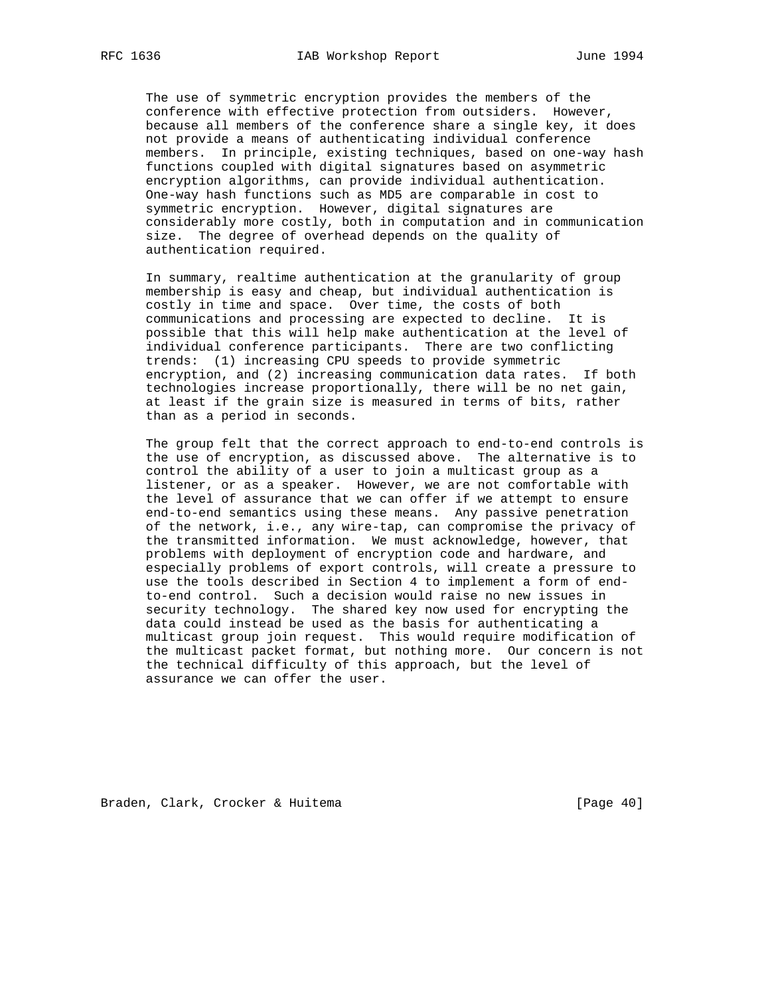The use of symmetric encryption provides the members of the conference with effective protection from outsiders. However, because all members of the conference share a single key, it does not provide a means of authenticating individual conference members. In principle, existing techniques, based on one-way hash functions coupled with digital signatures based on asymmetric encryption algorithms, can provide individual authentication. One-way hash functions such as MD5 are comparable in cost to symmetric encryption. However, digital signatures are considerably more costly, both in computation and in communication size. The degree of overhead depends on the quality of authentication required.

 In summary, realtime authentication at the granularity of group membership is easy and cheap, but individual authentication is costly in time and space. Over time, the costs of both communications and processing are expected to decline. It is possible that this will help make authentication at the level of individual conference participants. There are two conflicting trends: (1) increasing CPU speeds to provide symmetric encryption, and (2) increasing communication data rates. If both technologies increase proportionally, there will be no net gain, at least if the grain size is measured in terms of bits, rather than as a period in seconds.

 The group felt that the correct approach to end-to-end controls is the use of encryption, as discussed above. The alternative is to control the ability of a user to join a multicast group as a listener, or as a speaker. However, we are not comfortable with the level of assurance that we can offer if we attempt to ensure end-to-end semantics using these means. Any passive penetration of the network, i.e., any wire-tap, can compromise the privacy of the transmitted information. We must acknowledge, however, that problems with deployment of encryption code and hardware, and especially problems of export controls, will create a pressure to use the tools described in Section 4 to implement a form of end to-end control. Such a decision would raise no new issues in security technology. The shared key now used for encrypting the data could instead be used as the basis for authenticating a multicast group join request. This would require modification of the multicast packet format, but nothing more. Our concern is not the technical difficulty of this approach, but the level of assurance we can offer the user.

Braden, Clark, Crocker & Huitema [Page 40]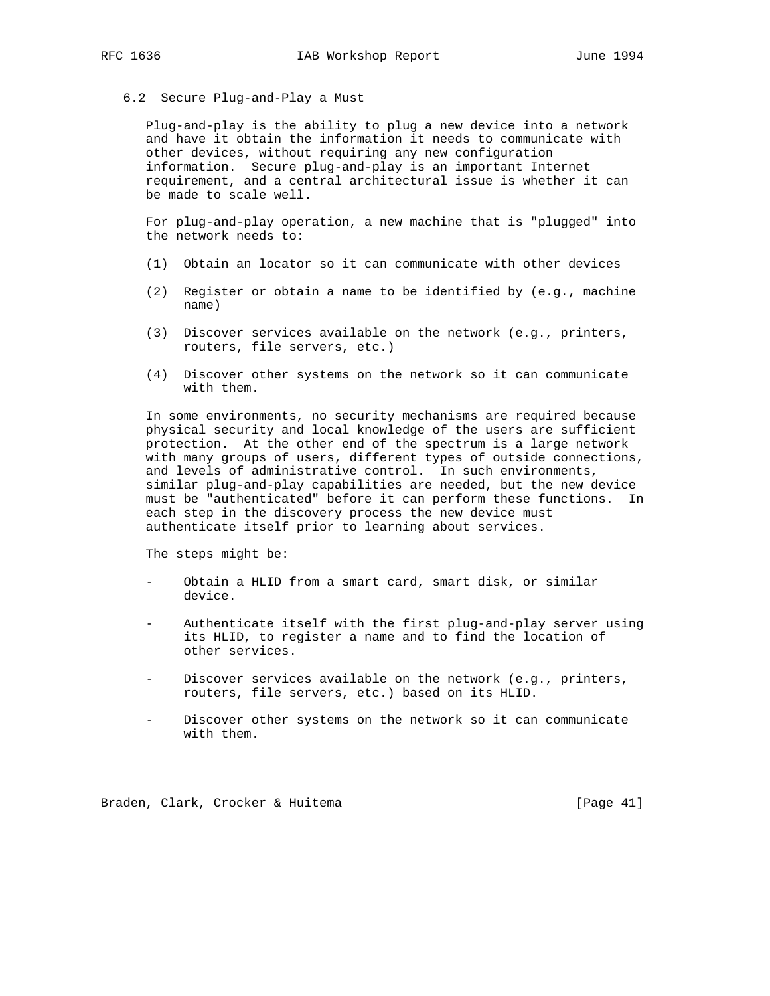6.2 Secure Plug-and-Play a Must

 Plug-and-play is the ability to plug a new device into a network and have it obtain the information it needs to communicate with other devices, without requiring any new configuration information. Secure plug-and-play is an important Internet requirement, and a central architectural issue is whether it can be made to scale well.

 For plug-and-play operation, a new machine that is "plugged" into the network needs to:

- (1) Obtain an locator so it can communicate with other devices
- (2) Register or obtain a name to be identified by (e.g., machine name)
- (3) Discover services available on the network (e.g., printers, routers, file servers, etc.)
- (4) Discover other systems on the network so it can communicate with them.

 In some environments, no security mechanisms are required because physical security and local knowledge of the users are sufficient protection. At the other end of the spectrum is a large network with many groups of users, different types of outside connections, and levels of administrative control. In such environments, similar plug-and-play capabilities are needed, but the new device must be "authenticated" before it can perform these functions. In each step in the discovery process the new device must authenticate itself prior to learning about services.

The steps might be:

- Obtain a HLID from a smart card, smart disk, or similar device.
- Authenticate itself with the first plug-and-play server using its HLID, to register a name and to find the location of other services.
- Discover services available on the network (e.g., printers, routers, file servers, etc.) based on its HLID.
- Discover other systems on the network so it can communicate with them.

Braden, Clark, Crocker & Huitema [Page 41]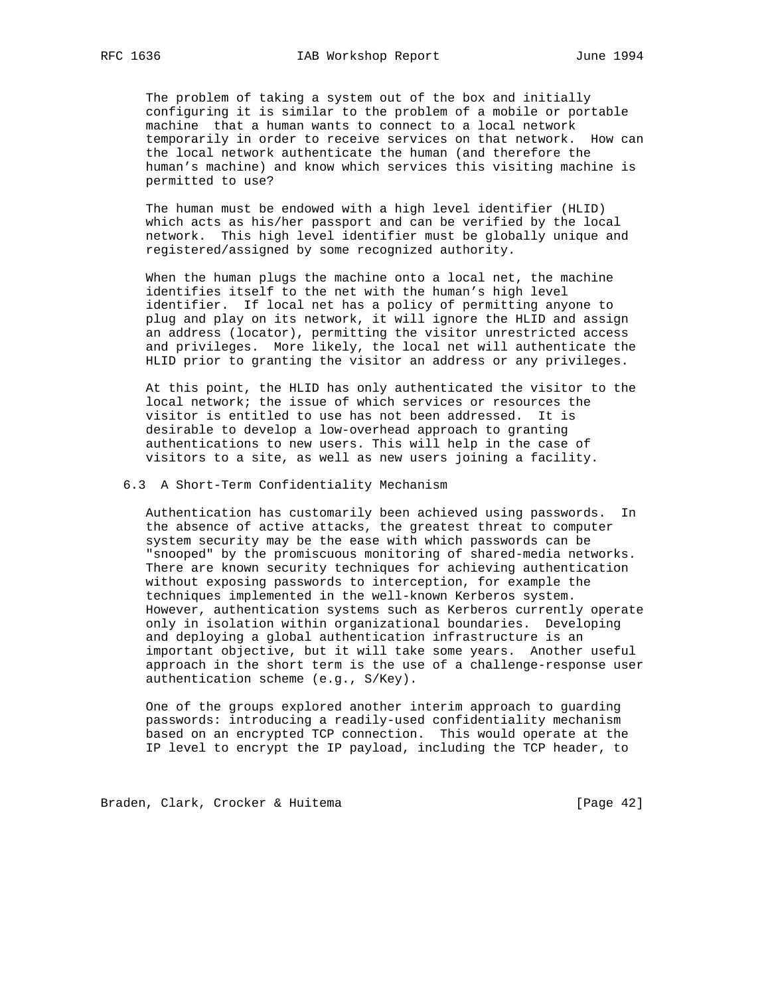The problem of taking a system out of the box and initially configuring it is similar to the problem of a mobile or portable machine that a human wants to connect to a local network temporarily in order to receive services on that network. How can the local network authenticate the human (and therefore the human's machine) and know which services this visiting machine is permitted to use?

 The human must be endowed with a high level identifier (HLID) which acts as his/her passport and can be verified by the local network. This high level identifier must be globally unique and registered/assigned by some recognized authority.

 When the human plugs the machine onto a local net, the machine identifies itself to the net with the human's high level identifier. If local net has a policy of permitting anyone to plug and play on its network, it will ignore the HLID and assign an address (locator), permitting the visitor unrestricted access and privileges. More likely, the local net will authenticate the HLID prior to granting the visitor an address or any privileges.

 At this point, the HLID has only authenticated the visitor to the local network; the issue of which services or resources the visitor is entitled to use has not been addressed. It is desirable to develop a low-overhead approach to granting authentications to new users. This will help in the case of visitors to a site, as well as new users joining a facility.

6.3 A Short-Term Confidentiality Mechanism

 Authentication has customarily been achieved using passwords. In the absence of active attacks, the greatest threat to computer system security may be the ease with which passwords can be "snooped" by the promiscuous monitoring of shared-media networks. There are known security techniques for achieving authentication without exposing passwords to interception, for example the techniques implemented in the well-known Kerberos system. However, authentication systems such as Kerberos currently operate only in isolation within organizational boundaries. Developing and deploying a global authentication infrastructure is an important objective, but it will take some years. Another useful approach in the short term is the use of a challenge-response user authentication scheme (e.g., S/Key).

 One of the groups explored another interim approach to guarding passwords: introducing a readily-used confidentiality mechanism based on an encrypted TCP connection. This would operate at the IP level to encrypt the IP payload, including the TCP header, to

Braden, Clark, Crocker & Huitema [Page 42]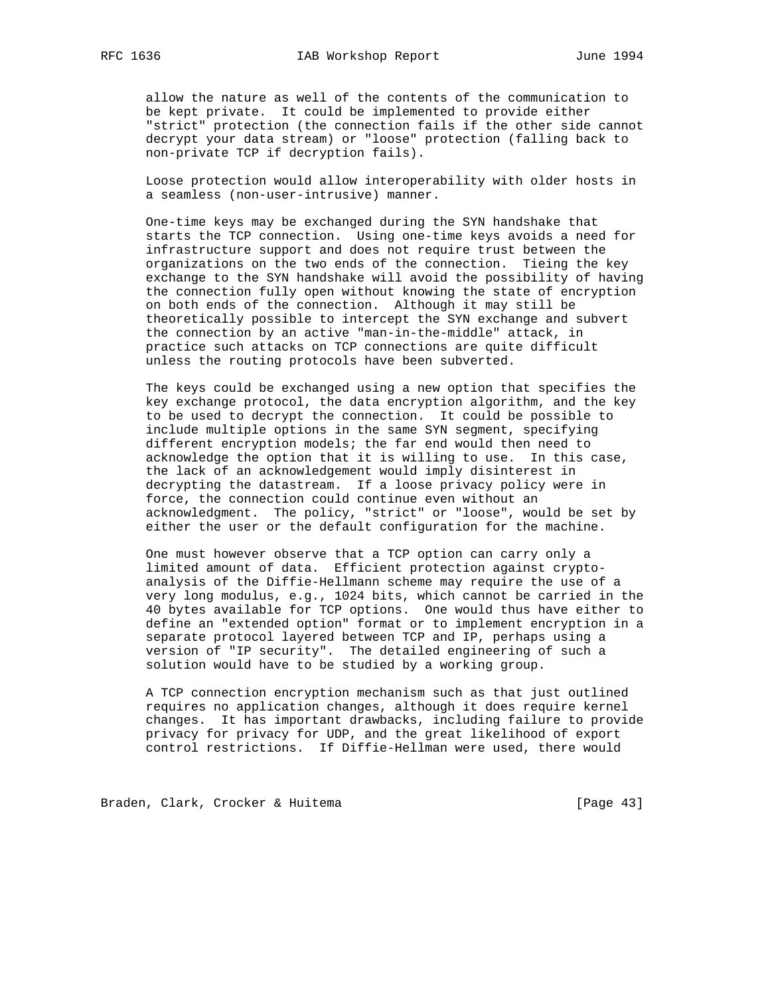allow the nature as well of the contents of the communication to be kept private. It could be implemented to provide either "strict" protection (the connection fails if the other side cannot decrypt your data stream) or "loose" protection (falling back to non-private TCP if decryption fails).

 Loose protection would allow interoperability with older hosts in a seamless (non-user-intrusive) manner.

 One-time keys may be exchanged during the SYN handshake that starts the TCP connection. Using one-time keys avoids a need for infrastructure support and does not require trust between the organizations on the two ends of the connection. Tieing the key exchange to the SYN handshake will avoid the possibility of having the connection fully open without knowing the state of encryption on both ends of the connection. Although it may still be theoretically possible to intercept the SYN exchange and subvert the connection by an active "man-in-the-middle" attack, in practice such attacks on TCP connections are quite difficult unless the routing protocols have been subverted.

 The keys could be exchanged using a new option that specifies the key exchange protocol, the data encryption algorithm, and the key to be used to decrypt the connection. It could be possible to include multiple options in the same SYN segment, specifying different encryption models; the far end would then need to acknowledge the option that it is willing to use. In this case, the lack of an acknowledgement would imply disinterest in decrypting the datastream. If a loose privacy policy were in force, the connection could continue even without an acknowledgment. The policy, "strict" or "loose", would be set by either the user or the default configuration for the machine.

 One must however observe that a TCP option can carry only a limited amount of data. Efficient protection against crypto analysis of the Diffie-Hellmann scheme may require the use of a very long modulus, e.g., 1024 bits, which cannot be carried in the 40 bytes available for TCP options. One would thus have either to define an "extended option" format or to implement encryption in a separate protocol layered between TCP and IP, perhaps using a version of "IP security". The detailed engineering of such a solution would have to be studied by a working group.

 A TCP connection encryption mechanism such as that just outlined requires no application changes, although it does require kernel changes. It has important drawbacks, including failure to provide privacy for privacy for UDP, and the great likelihood of export control restrictions. If Diffie-Hellman were used, there would

Braden, Clark, Crocker & Huitema [Page 43]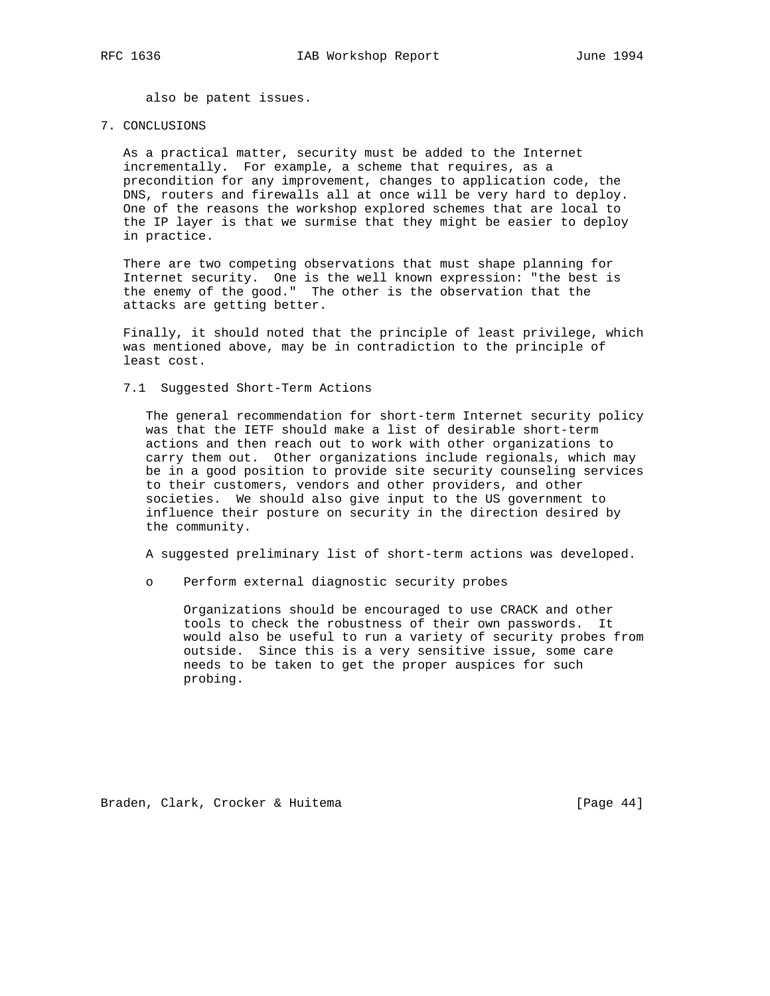also be patent issues.

#### 7. CONCLUSIONS

 As a practical matter, security must be added to the Internet incrementally. For example, a scheme that requires, as a precondition for any improvement, changes to application code, the DNS, routers and firewalls all at once will be very hard to deploy. One of the reasons the workshop explored schemes that are local to the IP layer is that we surmise that they might be easier to deploy in practice.

 There are two competing observations that must shape planning for Internet security. One is the well known expression: "the best is the enemy of the good." The other is the observation that the attacks are getting better.

 Finally, it should noted that the principle of least privilege, which was mentioned above, may be in contradiction to the principle of least cost.

7.1 Suggested Short-Term Actions

 The general recommendation for short-term Internet security policy was that the IETF should make a list of desirable short-term actions and then reach out to work with other organizations to carry them out. Other organizations include regionals, which may be in a good position to provide site security counseling services to their customers, vendors and other providers, and other societies. We should also give input to the US government to influence their posture on security in the direction desired by the community.

A suggested preliminary list of short-term actions was developed.

o Perform external diagnostic security probes

 Organizations should be encouraged to use CRACK and other tools to check the robustness of their own passwords. It would also be useful to run a variety of security probes from outside. Since this is a very sensitive issue, some care needs to be taken to get the proper auspices for such probing.

Braden, Clark, Crocker & Huitema [Page 44]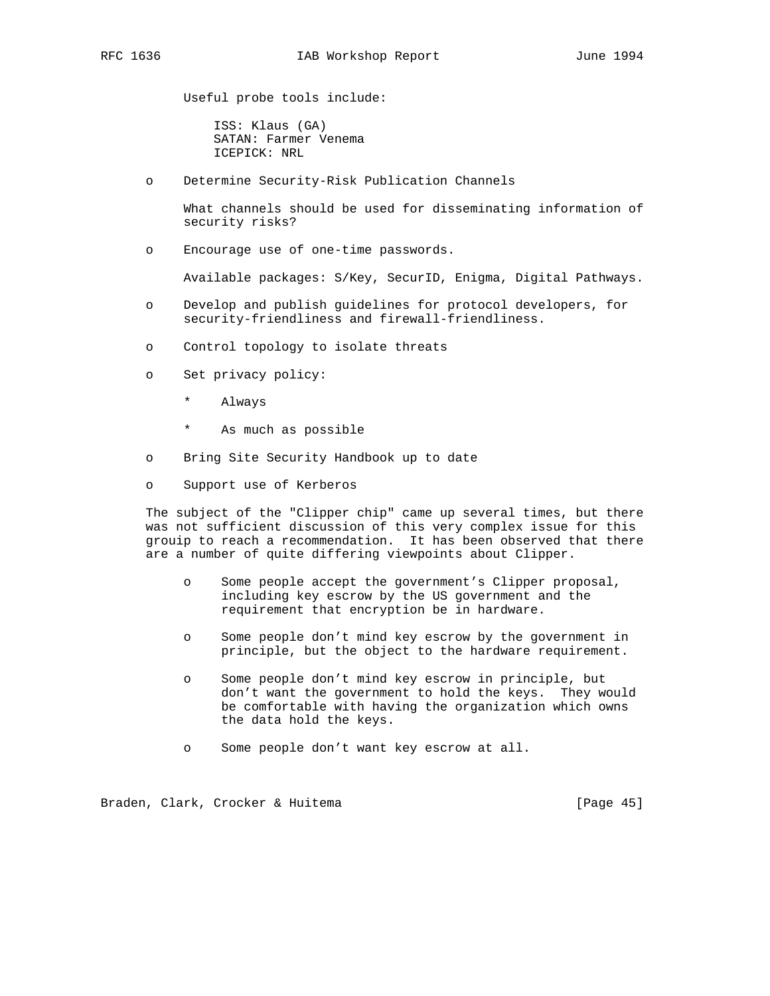Useful probe tools include:

 ISS: Klaus (GA) SATAN: Farmer Venema ICEPICK: NRL

o Determine Security-Risk Publication Channels

 What channels should be used for disseminating information of security risks?

o Encourage use of one-time passwords.

Available packages: S/Key, SecurID, Enigma, Digital Pathways.

- o Develop and publish guidelines for protocol developers, for security-friendliness and firewall-friendliness.
- o Control topology to isolate threats
- o Set privacy policy:
	- \* Always
	- As much as possible
- o Bring Site Security Handbook up to date
- o Support use of Kerberos

 The subject of the "Clipper chip" came up several times, but there was not sufficient discussion of this very complex issue for this grouip to reach a recommendation. It has been observed that there are a number of quite differing viewpoints about Clipper.

- o Some people accept the government's Clipper proposal, including key escrow by the US government and the requirement that encryption be in hardware.
- o Some people don't mind key escrow by the government in principle, but the object to the hardware requirement.
- o Some people don't mind key escrow in principle, but don't want the government to hold the keys. They would be comfortable with having the organization which owns the data hold the keys.
- o Some people don't want key escrow at all.

Braden, Clark, Crocker & Huitema (1999) [Page 45]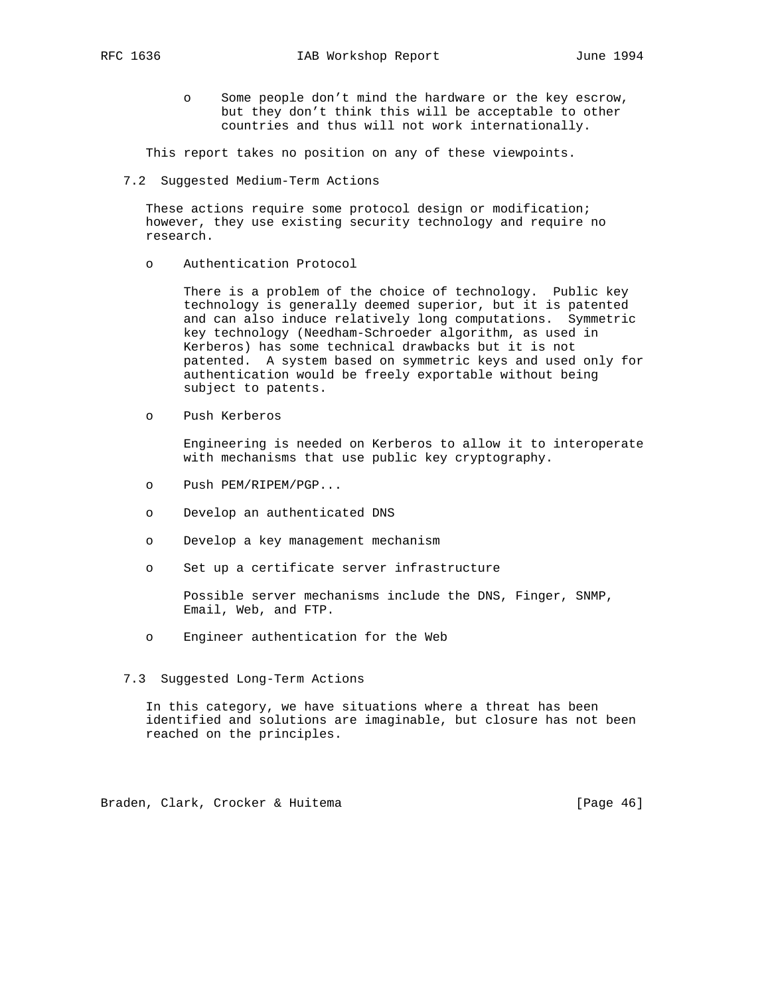o Some people don't mind the hardware or the key escrow, but they don't think this will be acceptable to other countries and thus will not work internationally.

This report takes no position on any of these viewpoints.

7.2 Suggested Medium-Term Actions

 These actions require some protocol design or modification; however, they use existing security technology and require no research.

o Authentication Protocol

 There is a problem of the choice of technology. Public key technology is generally deemed superior, but it is patented and can also induce relatively long computations. Symmetric key technology (Needham-Schroeder algorithm, as used in Kerberos) has some technical drawbacks but it is not patented. A system based on symmetric keys and used only for authentication would be freely exportable without being subject to patents.

o Push Kerberos

 Engineering is needed on Kerberos to allow it to interoperate with mechanisms that use public key cryptography.

- o Push PEM/RIPEM/PGP...
- o Develop an authenticated DNS
- o Develop a key management mechanism
- o Set up a certificate server infrastructure

 Possible server mechanisms include the DNS, Finger, SNMP, Email, Web, and FTP.

- o Engineer authentication for the Web
- 7.3 Suggested Long-Term Actions

 In this category, we have situations where a threat has been identified and solutions are imaginable, but closure has not been reached on the principles.

Braden, Clark, Crocker & Huitema (1999) [Page 46]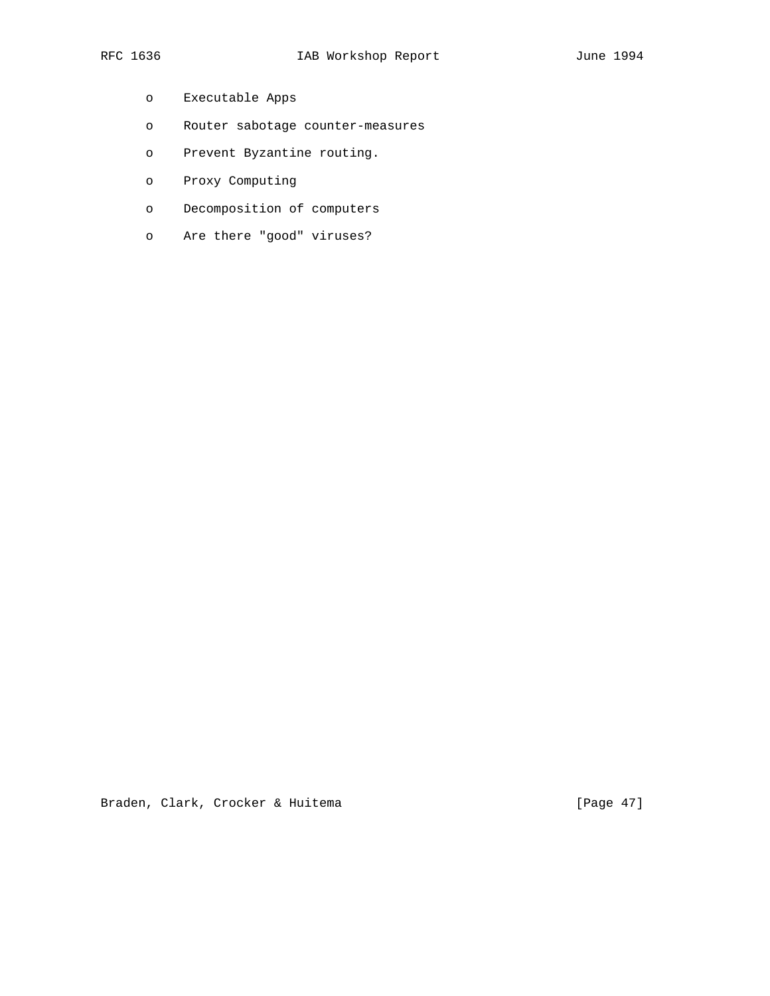- o Executable Apps
- o Router sabotage counter-measures
- o Prevent Byzantine routing.
- o Proxy Computing
- o Decomposition of computers
- o Are there "good" viruses?

Braden, Clark, Crocker & Huitema (Page 47)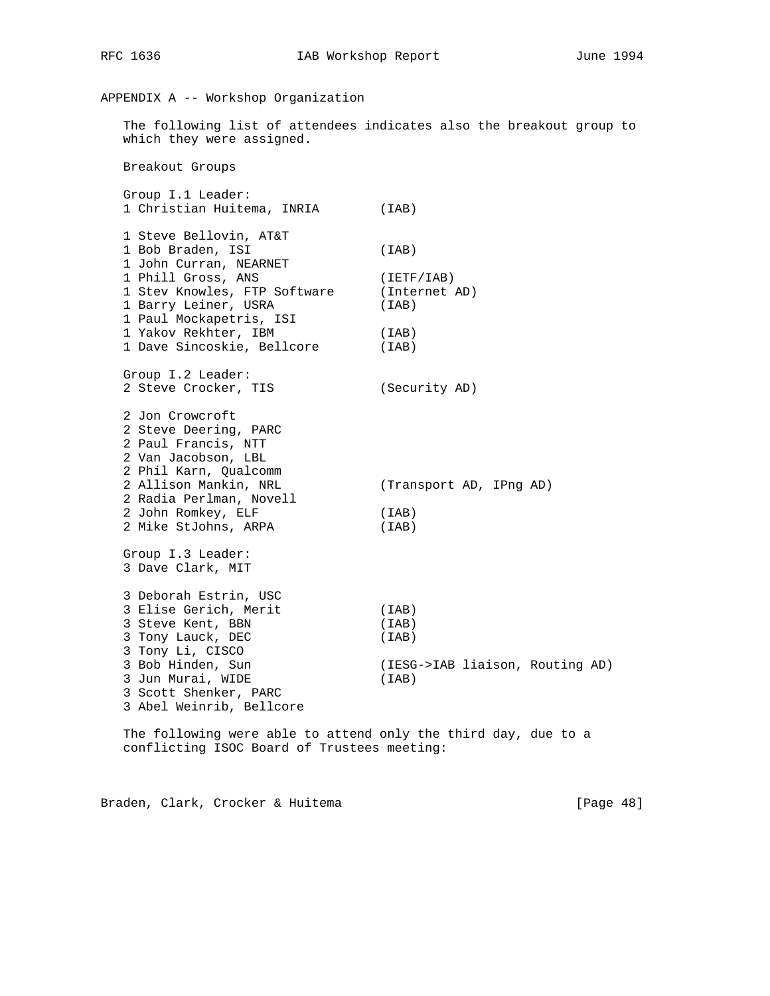# APPENDIX A -- Workshop Organization

 The following list of attendees indicates also the breakout group to which they were assigned.

Breakout Groups

 Group I.1 Leader: 1 Christian Huitema, INRIA (IAB) 1 Steve Bellovin, AT&T 1 Bob Braden, ISI (IAB) 1 John Curran, NEARNET<br>1 Phill Gross, ANS 1 Phill Gross, ANS (IETF/IAB) 1 Stev Knowles, FTP Software (Internet AD) 1 Barry Leiner, USRA (IAB) 1 Paul Mockapetris, ISI 1 Yakov Rekhter, IBM (IAB) 1 Tans Remneer, Inf. (Inc. )<br>1 Dave Sincoskie, Bellcore (IAB) Group I.2 Leader: 2 Steve Crocker, TIS (Security AD) 2 Jon Crowcroft 2 Steve Deering, PARC 2 Paul Francis, NTT 2 Van Jacobson, LBL 2 Phil Karn, Qualcomm 2 Allison Mankin, NRL (Transport AD, IPng AD) 2 Radia Perlman, Novell 2 John Romkey, ELF (IAB) 2 Mike StJohns, ARPA (IAB) Group I.3 Leader: 3 Dave Clark, MIT 3 Deborah Estrin, USC 3 Elise Gerich, Merit (IAB) 3 Steve Kent, BBN (IAB) 3 Tony Lauck, DEC (IAB) 3 Tony Li, CISCO 3 Bob Hinden, Sun (IESG->IAB liaison, Routing AD) 3 Jun Murai, WIDE (IAB) 3 Scott Shenker, PARC 3 Abel Weinrib, Bellcore

 The following were able to attend only the third day, due to a conflicting ISOC Board of Trustees meeting:

Braden, Clark, Crocker & Huitema (1999) [Page 48]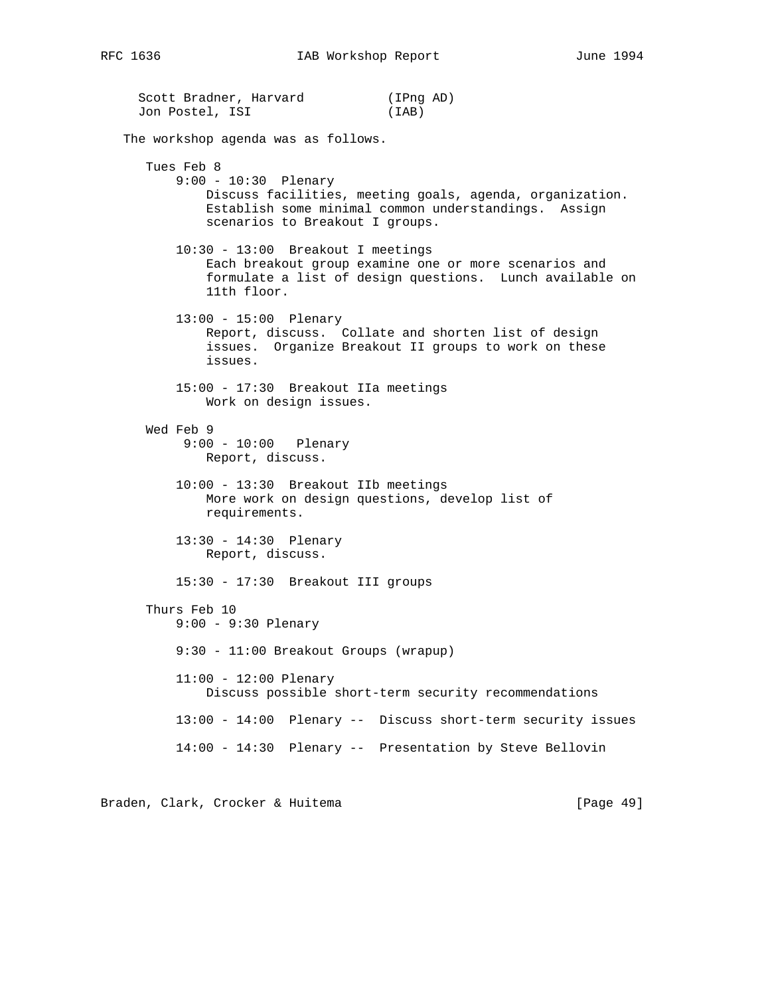Scott Bradner, Harvard (IPng AD) Jon Postel, ISI (IAB) The workshop agenda was as follows. Tues Feb 8 9:00 - 10:30 Plenary Discuss facilities, meeting goals, agenda, organization. Establish some minimal common understandings. Assign scenarios to Breakout I groups. 10:30 - 13:00 Breakout I meetings Each breakout group examine one or more scenarios and formulate a list of design questions. Lunch available on 11th floor. 13:00 - 15:00 Plenary Report, discuss. Collate and shorten list of design issues. Organize Breakout II groups to work on these issues. 15:00 - 17:30 Breakout IIa meetings Work on design issues. Wed Feb 9 9:00 - 10:00 Plenary Report, discuss. 10:00 - 13:30 Breakout IIb meetings More work on design questions, develop list of requirements. 13:30 - 14:30 Plenary Report, discuss. 15:30 - 17:30 Breakout III groups Thurs Feb 10 9:00 - 9:30 Plenary 9:30 - 11:00 Breakout Groups (wrapup) 11:00 - 12:00 Plenary Discuss possible short-term security recommendations 13:00 - 14:00 Plenary -- Discuss short-term security issues 14:00 - 14:30 Plenary -- Presentation by Steve Bellovin

Braden, Clark, Crocker & Huitema (1998) [Page 49]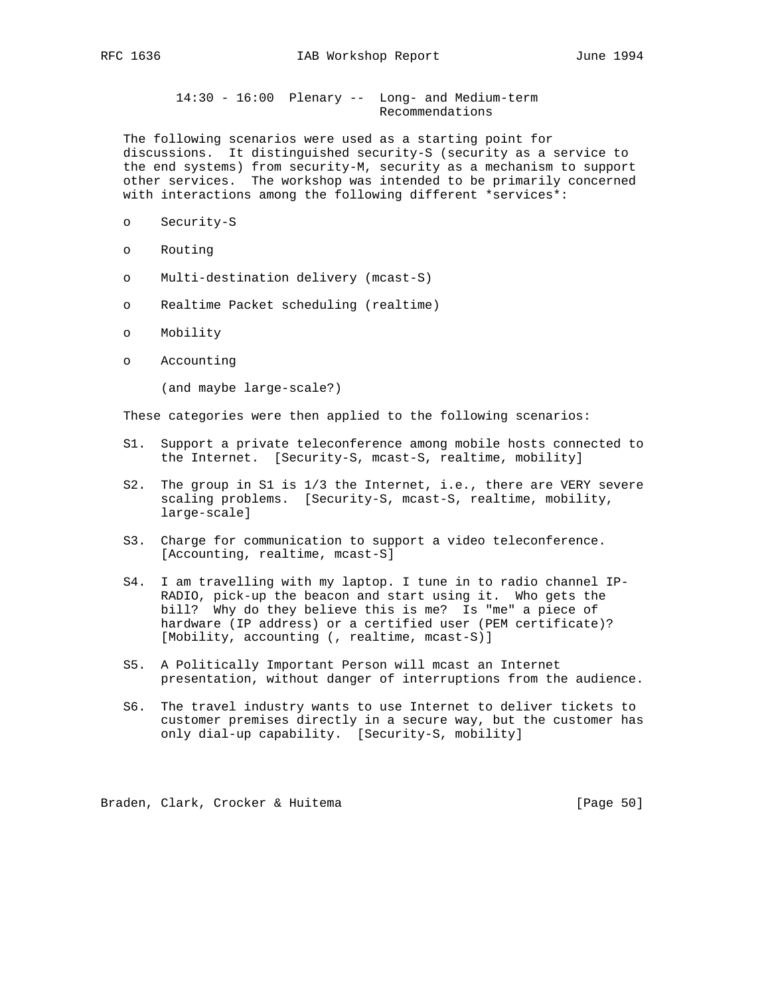14:30 - 16:00 Plenary -- Long- and Medium-term Recommendations

 The following scenarios were used as a starting point for discussions. It distinguished security-S (security as a service to the end systems) from security-M, security as a mechanism to support other services. The workshop was intended to be primarily concerned with interactions among the following different \*services\*:

- o Security-S
- o Routing
- o Multi-destination delivery (mcast-S)
- o Realtime Packet scheduling (realtime)
- o Mobility
- o Accounting

(and maybe large-scale?)

These categories were then applied to the following scenarios:

- S1. Support a private teleconference among mobile hosts connected to the Internet. [Security-S, mcast-S, realtime, mobility]
- S2. The group in S1 is 1/3 the Internet, i.e., there are VERY severe scaling problems. [Security-S, mcast-S, realtime, mobility, large-scale]
- S3. Charge for communication to support a video teleconference. [Accounting, realtime, mcast-S]
- S4. I am travelling with my laptop. I tune in to radio channel IP- RADIO, pick-up the beacon and start using it. Who gets the bill? Why do they believe this is me? Is "me" a piece of hardware (IP address) or a certified user (PEM certificate)? [Mobility, accounting (, realtime, mcast-S)]
- S5. A Politically Important Person will mcast an Internet presentation, without danger of interruptions from the audience.
- S6. The travel industry wants to use Internet to deliver tickets to customer premises directly in a secure way, but the customer has only dial-up capability. [Security-S, mobility]

Braden, Clark, Crocker & Huitema [Page 50]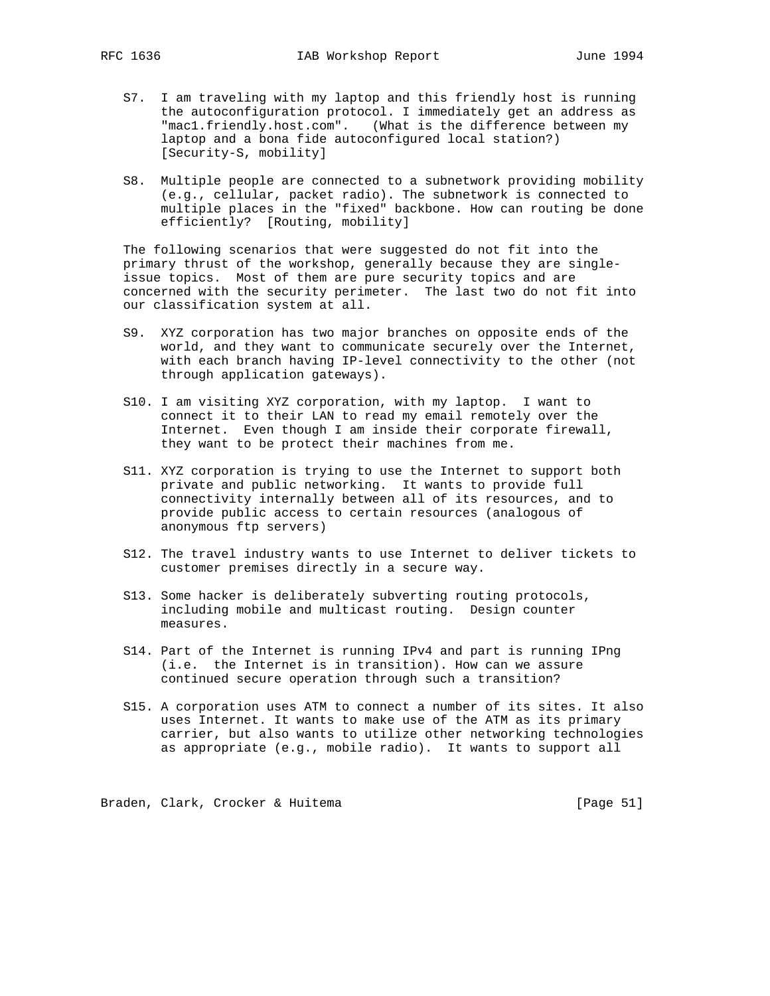- S7. I am traveling with my laptop and this friendly host is running the autoconfiguration protocol. I immediately get an address as "mac1.friendly.host.com". (What is the difference between my laptop and a bona fide autoconfigured local station?) [Security-S, mobility]
- S8. Multiple people are connected to a subnetwork providing mobility (e.g., cellular, packet radio). The subnetwork is connected to multiple places in the "fixed" backbone. How can routing be done efficiently? [Routing, mobility]

 The following scenarios that were suggested do not fit into the primary thrust of the workshop, generally because they are single issue topics. Most of them are pure security topics and are concerned with the security perimeter. The last two do not fit into our classification system at all.

- S9. XYZ corporation has two major branches on opposite ends of the world, and they want to communicate securely over the Internet, with each branch having IP-level connectivity to the other (not through application gateways).
- S10. I am visiting XYZ corporation, with my laptop. I want to connect it to their LAN to read my email remotely over the Internet. Even though I am inside their corporate firewall, they want to be protect their machines from me.
- S11. XYZ corporation is trying to use the Internet to support both private and public networking. It wants to provide full connectivity internally between all of its resources, and to provide public access to certain resources (analogous of anonymous ftp servers)
- S12. The travel industry wants to use Internet to deliver tickets to customer premises directly in a secure way.
- S13. Some hacker is deliberately subverting routing protocols, including mobile and multicast routing. Design counter measures.
- S14. Part of the Internet is running IPv4 and part is running IPng (i.e. the Internet is in transition). How can we assure continued secure operation through such a transition?
- S15. A corporation uses ATM to connect a number of its sites. It also uses Internet. It wants to make use of the ATM as its primary carrier, but also wants to utilize other networking technologies as appropriate (e.g., mobile radio). It wants to support all

Braden, Clark, Crocker & Huitema [Page 51]